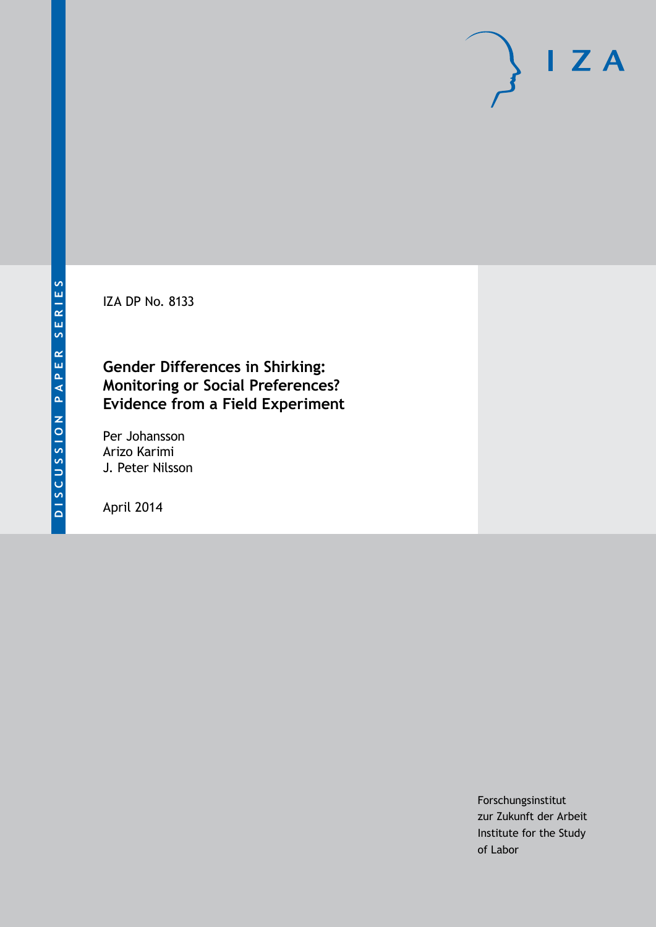IZA DP No. 8133

## **Gender Differences in Shirking: Monitoring or Social Preferences? Evidence from a Field Experiment**

Per Johansson Arizo Karimi J. Peter Nilsson

April 2014

Forschungsinstitut zur Zukunft der Arbeit Institute for the Study of Labor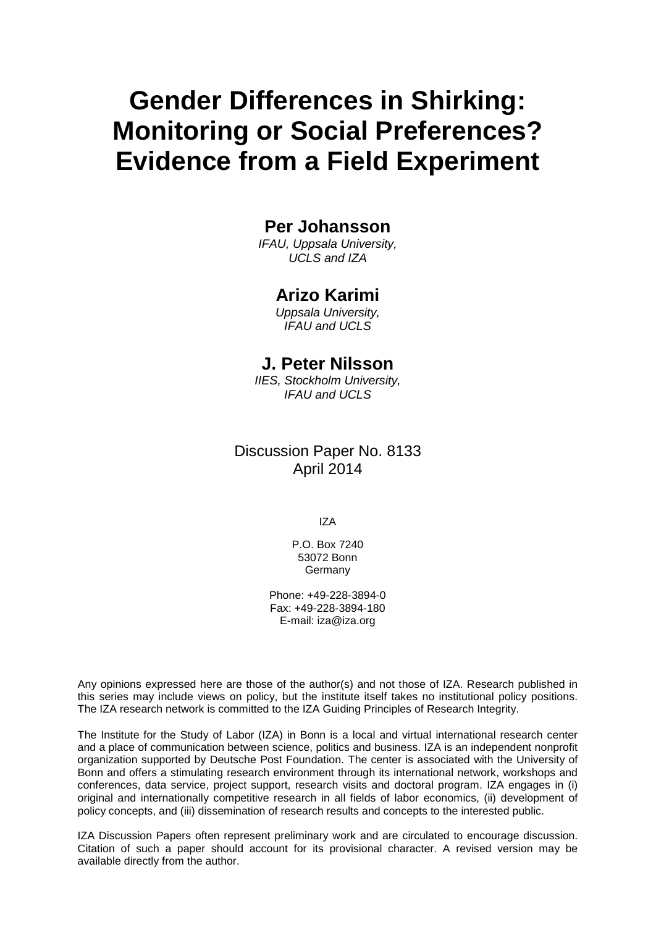# **Gender Differences in Shirking: Monitoring or Social Preferences? Evidence from a Field Experiment**

## **Per Johansson**

*IFAU, Uppsala University, UCLS and IZA*

#### **Arizo Karimi**

*Uppsala University, IFAU and UCLS*

## **J. Peter Nilsson**

*IIES, Stockholm University, IFAU and UCLS*

## Discussion Paper No. 8133 April 2014

IZA

P.O. Box 7240 53072 Bonn **Germany** 

Phone: +49-228-3894-0 Fax: +49-228-3894-180 E-mail: [iza@iza.org](mailto:iza@iza.org)

Any opinions expressed here are those of the author(s) and not those of IZA. Research published in this series may include views on policy, but the institute itself takes no institutional policy positions. The IZA research network is committed to the IZA Guiding Principles of Research Integrity.

The Institute for the Study of Labor (IZA) in Bonn is a local and virtual international research center and a place of communication between science, politics and business. IZA is an independent nonprofit organization supported by Deutsche Post Foundation. The center is associated with the University of Bonn and offers a stimulating research environment through its international network, workshops and conferences, data service, project support, research visits and doctoral program. IZA engages in (i) original and internationally competitive research in all fields of labor economics, (ii) development of policy concepts, and (iii) dissemination of research results and concepts to the interested public.

<span id="page-1-0"></span>IZA Discussion Papers often represent preliminary work and are circulated to encourage discussion. Citation of such a paper should account for its provisional character. A revised version may be available directly from the author.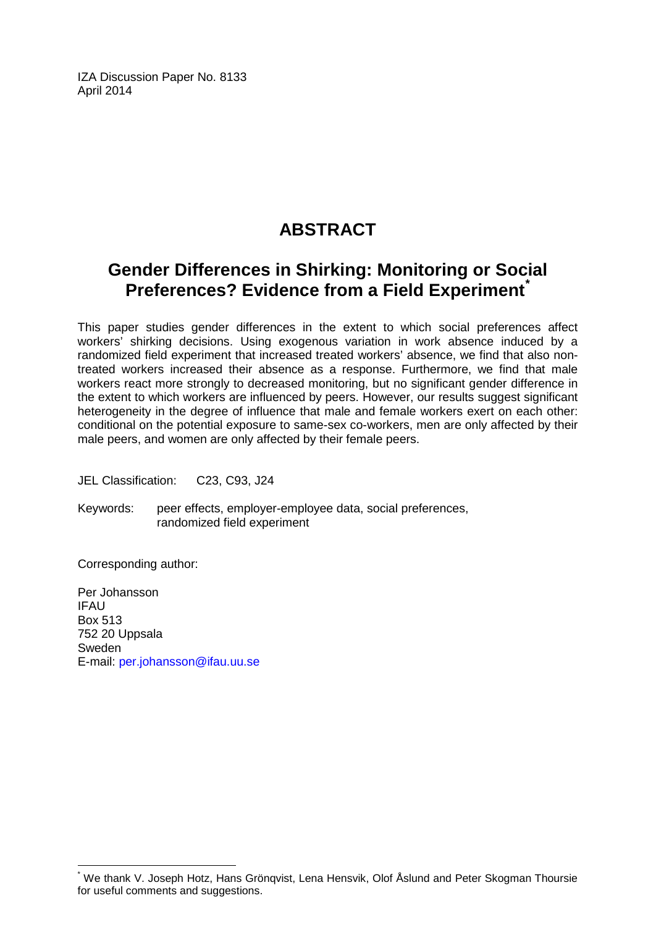IZA Discussion Paper No. 8133 April 2014

# **ABSTRACT**

## **Gender Differences in Shirking: Monitoring or Social Preferences? Evidence from a Field Experiment[\\*](#page-1-0)**

This paper studies gender differences in the extent to which social preferences affect workers' shirking decisions. Using exogenous variation in work absence induced by a randomized field experiment that increased treated workers' absence, we find that also nontreated workers increased their absence as a response. Furthermore, we find that male workers react more strongly to decreased monitoring, but no significant gender difference in the extent to which workers are influenced by peers. However, our results suggest significant heterogeneity in the degree of influence that male and female workers exert on each other: conditional on the potential exposure to same-sex co-workers, men are only affected by their male peers, and women are only affected by their female peers.

JEL Classification: C23, C93, J24

Keywords: peer effects, employer-employee data, social preferences, randomized field experiment

Corresponding author:

Per Johansson IFAU Box 513 752 20 Uppsala Sweden E-mail: [per.johansson@ifau.uu.se](mailto:per.johansson@ifau.uu.se)

We thank V. Joseph Hotz, Hans Grönqvist, Lena Hensvik, Olof Åslund and Peter Skogman Thoursie for useful comments and suggestions.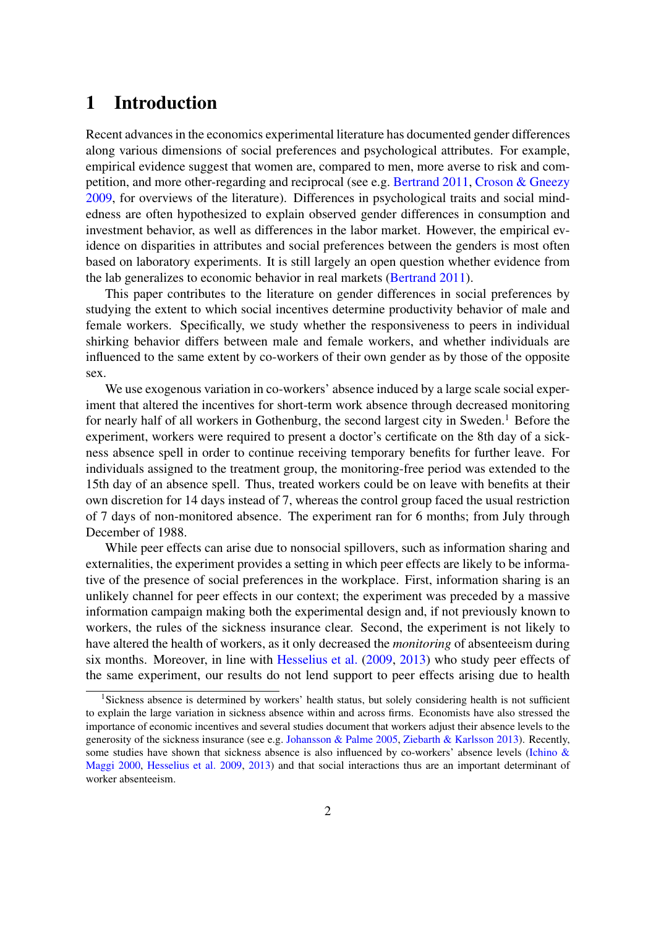## 1 Introduction

Recent advances in the economics experimental literature has documented gender differences along various dimensions of social preferences and psychological attributes. For example, empirical evidence suggest that women are, compared to men, more averse to risk and competition, and more other-regarding and reciprocal (see e.g. [Bertrand](#page-21-0) [2011,](#page-21-0) [Croson & Gneezy](#page-21-1) [2009,](#page-21-1) for overviews of the literature). Differences in psychological traits and social mindedness are often hypothesized to explain observed gender differences in consumption and investment behavior, as well as differences in the labor market. However, the empirical evidence on disparities in attributes and social preferences between the genders is most often based on laboratory experiments. It is still largely an open question whether evidence from the lab generalizes to economic behavior in real markets [\(Bertrand](#page-21-0) [2011\)](#page-21-0).

This paper contributes to the literature on gender differences in social preferences by studying the extent to which social incentives determine productivity behavior of male and female workers. Specifically, we study whether the responsiveness to peers in individual shirking behavior differs between male and female workers, and whether individuals are influenced to the same extent by co-workers of their own gender as by those of the opposite sex.

We use exogenous variation in co-workers' absence induced by a large scale social experiment that altered the incentives for short-term work absence through decreased monitoring for nearly half of all workers in Gothenburg, the second largest city in Sweden.<sup>1</sup> Before the experiment, workers were required to present a doctor's certificate on the 8th day of a sickness absence spell in order to continue receiving temporary benefits for further leave. For individuals assigned to the treatment group, the monitoring-free period was extended to the 15th day of an absence spell. Thus, treated workers could be on leave with benefits at their own discretion for 14 days instead of 7, whereas the control group faced the usual restriction of 7 days of non-monitored absence. The experiment ran for 6 months; from July through December of 1988.

While peer effects can arise due to nonsocial spillovers, such as information sharing and externalities, the experiment provides a setting in which peer effects are likely to be informative of the presence of social preferences in the workplace. First, information sharing is an unlikely channel for peer effects in our context; the experiment was preceded by a massive information campaign making both the experimental design and, if not previously known to workers, the rules of the sickness insurance clear. Second, the experiment is not likely to have altered the health of workers, as it only decreased the *monitoring* of absenteeism during six months. Moreover, in line with [Hesselius et al.](#page-21-2) [\(2009,](#page-21-2) [2013\)](#page-21-3) who study peer effects of the same experiment, our results do not lend support to peer effects arising due to health

<sup>&</sup>lt;sup>1</sup>Sickness absence is determined by workers' health status, but solely considering health is not sufficient to explain the large variation in sickness absence within and across firms. Economists have also stressed the importance of economic incentives and several studies document that workers adjust their absence levels to the generosity of the sickness insurance (see e.g. [Johansson & Palme](#page-22-0) [2005,](#page-22-0) [Ziebarth & Karlsson](#page-22-1) [2013\)](#page-22-1). Recently, some studies have shown that sickness absence is also influenced by co-workers' absence levels [\(Ichino &](#page-21-4) [Maggi](#page-21-4) [2000,](#page-21-4) [Hesselius et al.](#page-21-2) [2009,](#page-21-2) [2013\)](#page-21-3) and that social interactions thus are an important determinant of worker absenteeism.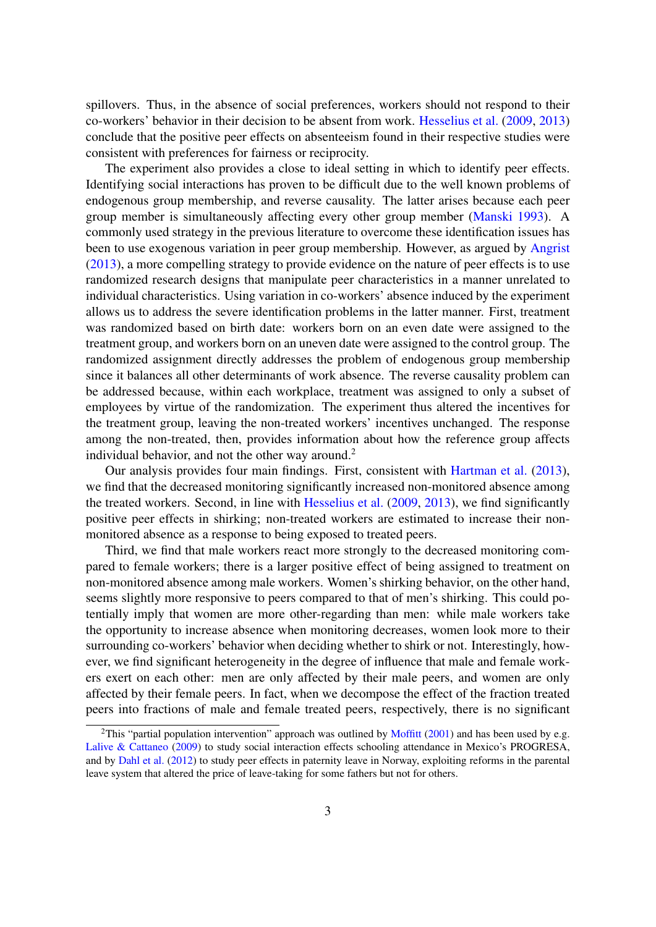spillovers. Thus, in the absence of social preferences, workers should not respond to their co-workers' behavior in their decision to be absent from work. [Hesselius et al.](#page-21-2) [\(2009,](#page-21-2) [2013\)](#page-21-3) conclude that the positive peer effects on absenteeism found in their respective studies were consistent with preferences for fairness or reciprocity.

The experiment also provides a close to ideal setting in which to identify peer effects. Identifying social interactions has proven to be difficult due to the well known problems of endogenous group membership, and reverse causality. The latter arises because each peer group member is simultaneously affecting every other group member [\(Manski](#page-22-2) [1993\)](#page-22-2). A commonly used strategy in the previous literature to overcome these identification issues has been to use exogenous variation in peer group membership. However, as argued by [Angrist](#page-21-5) [\(2013\)](#page-21-5), a more compelling strategy to provide evidence on the nature of peer effects is to use randomized research designs that manipulate peer characteristics in a manner unrelated to individual characteristics. Using variation in co-workers' absence induced by the experiment allows us to address the severe identification problems in the latter manner. First, treatment was randomized based on birth date: workers born on an even date were assigned to the treatment group, and workers born on an uneven date were assigned to the control group. The randomized assignment directly addresses the problem of endogenous group membership since it balances all other determinants of work absence. The reverse causality problem can be addressed because, within each workplace, treatment was assigned to only a subset of employees by virtue of the randomization. The experiment thus altered the incentives for the treatment group, leaving the non-treated workers' incentives unchanged. The response among the non-treated, then, provides information about how the reference group affects individual behavior, and not the other way around.<sup>2</sup>

Our analysis provides four main findings. First, consistent with [Hartman et al.](#page-21-6) [\(2013\)](#page-21-6), we find that the decreased monitoring significantly increased non-monitored absence among the treated workers. Second, in line with [Hesselius et al.](#page-21-2) [\(2009,](#page-21-2) [2013\)](#page-21-3), we find significantly positive peer effects in shirking; non-treated workers are estimated to increase their nonmonitored absence as a response to being exposed to treated peers.

Third, we find that male workers react more strongly to the decreased monitoring compared to female workers; there is a larger positive effect of being assigned to treatment on non-monitored absence among male workers. Women's shirking behavior, on the other hand, seems slightly more responsive to peers compared to that of men's shirking. This could potentially imply that women are more other-regarding than men: while male workers take the opportunity to increase absence when monitoring decreases, women look more to their surrounding co-workers' behavior when deciding whether to shirk or not. Interestingly, however, we find significant heterogeneity in the degree of influence that male and female workers exert on each other: men are only affected by their male peers, and women are only affected by their female peers. In fact, when we decompose the effect of the fraction treated peers into fractions of male and female treated peers, respectively, there is no significant

<sup>&</sup>lt;sup>2</sup>This "partial population intervention" approach was outlined by [Moffitt](#page-22-3) [\(2001\)](#page-22-3) and has been used by e.g. [Lalive & Cattaneo](#page-22-4) [\(2009\)](#page-22-4) to study social interaction effects schooling attendance in Mexico's PROGRESA, and by [Dahl et al.](#page-21-7) [\(2012\)](#page-21-7) to study peer effects in paternity leave in Norway, exploiting reforms in the parental leave system that altered the price of leave-taking for some fathers but not for others.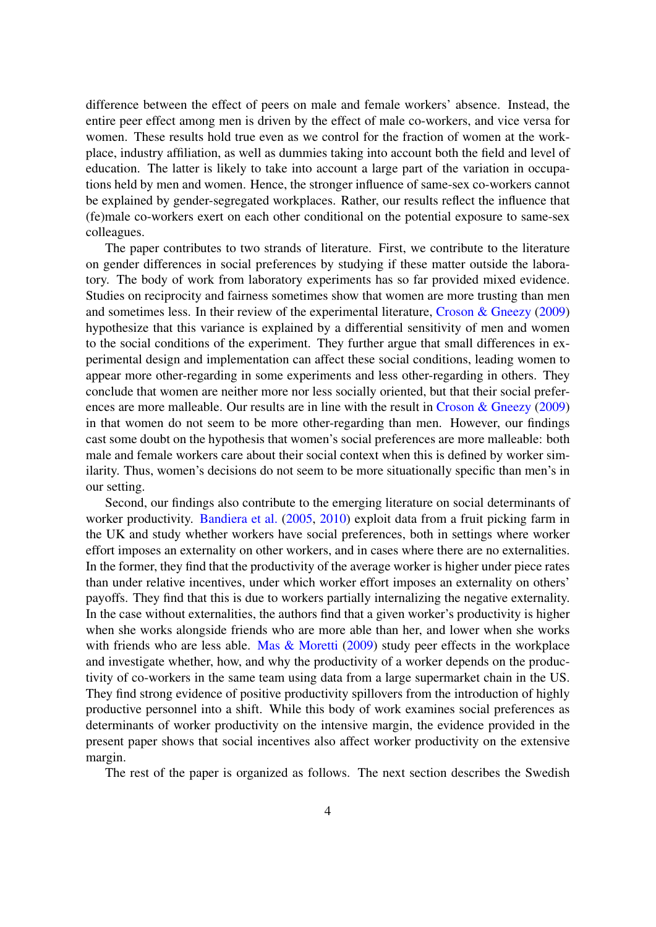difference between the effect of peers on male and female workers' absence. Instead, the entire peer effect among men is driven by the effect of male co-workers, and vice versa for women. These results hold true even as we control for the fraction of women at the workplace, industry affiliation, as well as dummies taking into account both the field and level of education. The latter is likely to take into account a large part of the variation in occupations held by men and women. Hence, the stronger influence of same-sex co-workers cannot be explained by gender-segregated workplaces. Rather, our results reflect the influence that (fe)male co-workers exert on each other conditional on the potential exposure to same-sex colleagues.

The paper contributes to two strands of literature. First, we contribute to the literature on gender differences in social preferences by studying if these matter outside the laboratory. The body of work from laboratory experiments has so far provided mixed evidence. Studies on reciprocity and fairness sometimes show that women are more trusting than men and sometimes less. In their review of the experimental literature, [Croson & Gneezy](#page-21-1) [\(2009\)](#page-21-1) hypothesize that this variance is explained by a differential sensitivity of men and women to the social conditions of the experiment. They further argue that small differences in experimental design and implementation can affect these social conditions, leading women to appear more other-regarding in some experiments and less other-regarding in others. They conclude that women are neither more nor less socially oriented, but that their social prefer-ences are more malleable. Our results are in line with the result in [Croson & Gneezy](#page-21-1) [\(2009\)](#page-21-1) in that women do not seem to be more other-regarding than men. However, our findings cast some doubt on the hypothesis that women's social preferences are more malleable: both male and female workers care about their social context when this is defined by worker similarity. Thus, women's decisions do not seem to be more situationally specific than men's in our setting.

Second, our findings also contribute to the emerging literature on social determinants of worker productivity. [Bandiera et al.](#page-21-8) [\(2005,](#page-21-8) [2010\)](#page-21-9) exploit data from a fruit picking farm in the UK and study whether workers have social preferences, both in settings where worker effort imposes an externality on other workers, and in cases where there are no externalities. In the former, they find that the productivity of the average worker is higher under piece rates than under relative incentives, under which worker effort imposes an externality on others' payoffs. They find that this is due to workers partially internalizing the negative externality. In the case without externalities, the authors find that a given worker's productivity is higher when she works alongside friends who are more able than her, and lower when she works with friends who are less able. [Mas & Moretti](#page-22-5) [\(2009\)](#page-22-5) study peer effects in the workplace and investigate whether, how, and why the productivity of a worker depends on the productivity of co-workers in the same team using data from a large supermarket chain in the US. They find strong evidence of positive productivity spillovers from the introduction of highly productive personnel into a shift. While this body of work examines social preferences as determinants of worker productivity on the intensive margin, the evidence provided in the present paper shows that social incentives also affect worker productivity on the extensive margin.

The rest of the paper is organized as follows. The next section describes the Swedish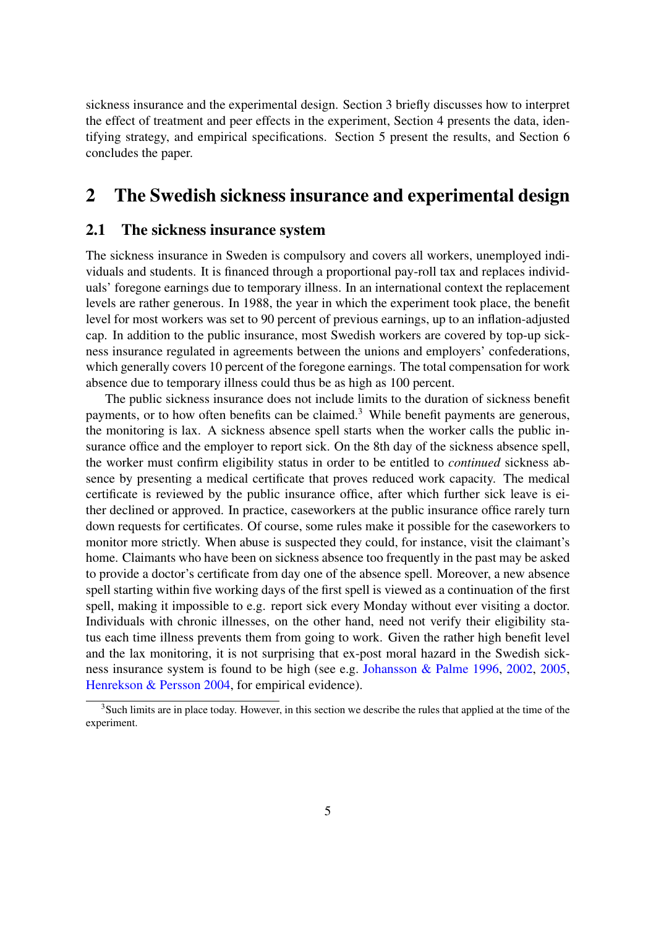sickness insurance and the experimental design. Section 3 briefly discusses how to interpret the effect of treatment and peer effects in the experiment, Section 4 presents the data, identifying strategy, and empirical specifications. Section 5 present the results, and Section 6 concludes the paper.

## 2 The Swedish sickness insurance and experimental design

#### 2.1 The sickness insurance system

The sickness insurance in Sweden is compulsory and covers all workers, unemployed individuals and students. It is financed through a proportional pay-roll tax and replaces individuals' foregone earnings due to temporary illness. In an international context the replacement levels are rather generous. In 1988, the year in which the experiment took place, the benefit level for most workers was set to 90 percent of previous earnings, up to an inflation-adjusted cap. In addition to the public insurance, most Swedish workers are covered by top-up sickness insurance regulated in agreements between the unions and employers' confederations, which generally covers 10 percent of the foregone earnings. The total compensation for work absence due to temporary illness could thus be as high as 100 percent.

The public sickness insurance does not include limits to the duration of sickness benefit payments, or to how often benefits can be claimed.<sup>3</sup> While benefit payments are generous, the monitoring is lax. A sickness absence spell starts when the worker calls the public insurance office and the employer to report sick. On the 8th day of the sickness absence spell, the worker must confirm eligibility status in order to be entitled to *continued* sickness absence by presenting a medical certificate that proves reduced work capacity. The medical certificate is reviewed by the public insurance office, after which further sick leave is either declined or approved. In practice, caseworkers at the public insurance office rarely turn down requests for certificates. Of course, some rules make it possible for the caseworkers to monitor more strictly. When abuse is suspected they could, for instance, visit the claimant's home. Claimants who have been on sickness absence too frequently in the past may be asked to provide a doctor's certificate from day one of the absence spell. Moreover, a new absence spell starting within five working days of the first spell is viewed as a continuation of the first spell, making it impossible to e.g. report sick every Monday without ever visiting a doctor. Individuals with chronic illnesses, on the other hand, need not verify their eligibility status each time illness prevents them from going to work. Given the rather high benefit level and the lax monitoring, it is not surprising that ex-post moral hazard in the Swedish sickness insurance system is found to be high (see e.g. [Johansson & Palme](#page-22-6) [1996,](#page-22-6) [2002,](#page-22-7) [2005,](#page-22-0) [Henrekson & Persson](#page-21-10) [2004,](#page-21-10) for empirical evidence).

<sup>&</sup>lt;sup>3</sup>Such limits are in place today. However, in this section we describe the rules that applied at the time of the experiment.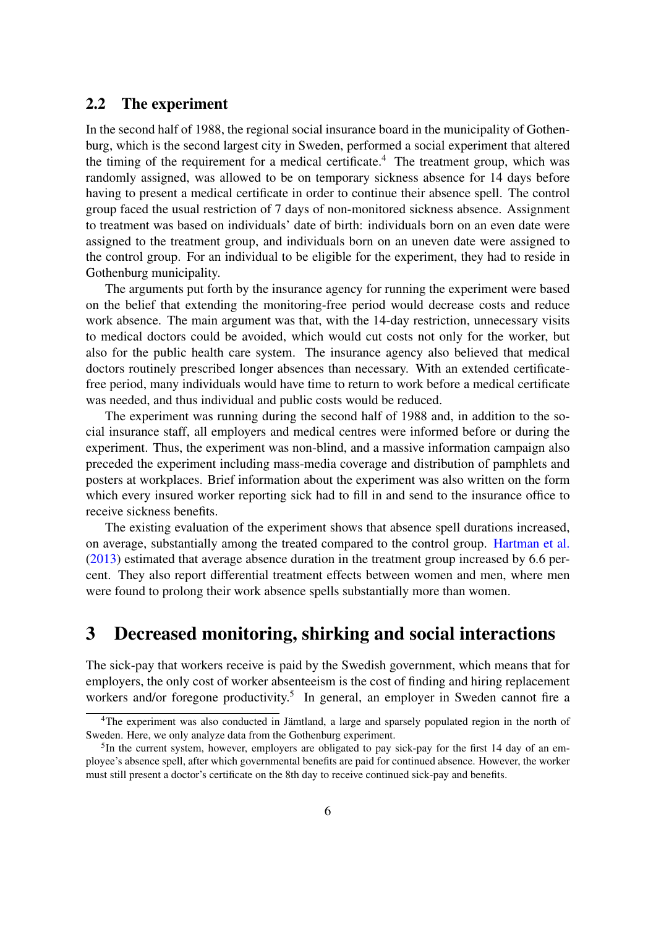#### 2.2 The experiment

In the second half of 1988, the regional social insurance board in the municipality of Gothenburg, which is the second largest city in Sweden, performed a social experiment that altered the timing of the requirement for a medical certificate.<sup>4</sup> The treatment group, which was randomly assigned, was allowed to be on temporary sickness absence for 14 days before having to present a medical certificate in order to continue their absence spell. The control group faced the usual restriction of 7 days of non-monitored sickness absence. Assignment to treatment was based on individuals' date of birth: individuals born on an even date were assigned to the treatment group, and individuals born on an uneven date were assigned to the control group. For an individual to be eligible for the experiment, they had to reside in Gothenburg municipality.

The arguments put forth by the insurance agency for running the experiment were based on the belief that extending the monitoring-free period would decrease costs and reduce work absence. The main argument was that, with the 14-day restriction, unnecessary visits to medical doctors could be avoided, which would cut costs not only for the worker, but also for the public health care system. The insurance agency also believed that medical doctors routinely prescribed longer absences than necessary. With an extended certificatefree period, many individuals would have time to return to work before a medical certificate was needed, and thus individual and public costs would be reduced.

The experiment was running during the second half of 1988 and, in addition to the social insurance staff, all employers and medical centres were informed before or during the experiment. Thus, the experiment was non-blind, and a massive information campaign also preceded the experiment including mass-media coverage and distribution of pamphlets and posters at workplaces. Brief information about the experiment was also written on the form which every insured worker reporting sick had to fill in and send to the insurance office to receive sickness benefits.

The existing evaluation of the experiment shows that absence spell durations increased, on average, substantially among the treated compared to the control group. [Hartman et al.](#page-21-6) [\(2013\)](#page-21-6) estimated that average absence duration in the treatment group increased by 6.6 percent. They also report differential treatment effects between women and men, where men were found to prolong their work absence spells substantially more than women.

## 3 Decreased monitoring, shirking and social interactions

The sick-pay that workers receive is paid by the Swedish government, which means that for employers, the only cost of worker absenteeism is the cost of finding and hiring replacement workers and/or foregone productivity.<sup>5</sup> In general, an employer in Sweden cannot fire a

<sup>&</sup>lt;sup>4</sup>The experiment was also conducted in Jämtland, a large and sparsely populated region in the north of Sweden. Here, we only analyze data from the Gothenburg experiment.

<sup>&</sup>lt;sup>5</sup>In the current system, however, employers are obligated to pay sick-pay for the first 14 day of an employee's absence spell, after which governmental benefits are paid for continued absence. However, the worker must still present a doctor's certificate on the 8th day to receive continued sick-pay and benefits.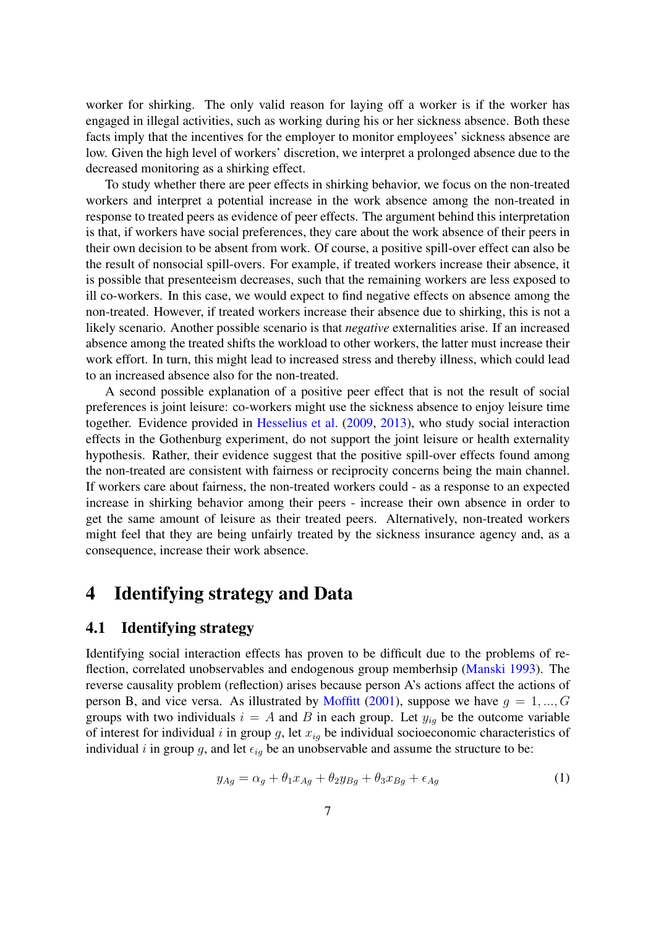worker for shirking. The only valid reason for laying off a worker is if the worker has engaged in illegal activities, such as working during his or her sickness absence. Both these facts imply that the incentives for the employer to monitor employees' sickness absence are low. Given the high level of workers' discretion, we interpret a prolonged absence due to the decreased monitoring as a shirking effect.

To study whether there are peer effects in shirking behavior, we focus on the non-treated workers and interpret a potential increase in the work absence among the non-treated in response to treated peers as evidence of peer effects. The argument behind this interpretation is that, if workers have social preferences, they care about the work absence of their peers in their own decision to be absent from work. Of course, a positive spill-over effect can also be the result of nonsocial spill-overs. For example, if treated workers increase their absence, it is possible that presenteeism decreases, such that the remaining workers are less exposed to ill co-workers. In this case, we would expect to find negative effects on absence among the non-treated. However, if treated workers increase their absence due to shirking, this is not a likely scenario. Another possible scenario is that *negative* externalities arise. If an increased absence among the treated shifts the workload to other workers, the latter must increase their work effort. In turn, this might lead to increased stress and thereby illness, which could lead to an increased absence also for the non-treated.

A second possible explanation of a positive peer effect that is not the result of social preferences is joint leisure: co-workers might use the sickness absence to enjoy leisure time together. Evidence provided in [Hesselius et al.](#page-21-2) [\(2009,](#page-21-2) [2013\)](#page-21-3), who study social interaction effects in the Gothenburg experiment, do not support the joint leisure or health externality hypothesis. Rather, their evidence suggest that the positive spill-over effects found among the non-treated are consistent with fairness or reciprocity concerns being the main channel. If workers care about fairness, the non-treated workers could - as a response to an expected increase in shirking behavior among their peers - increase their own absence in order to get the same amount of leisure as their treated peers. Alternatively, non-treated workers might feel that they are being unfairly treated by the sickness insurance agency and, as a consequence, increase their work absence.

## 4 Identifying strategy and Data

#### 4.1 Identifying strategy

Identifying social interaction effects has proven to be difficult due to the problems of reflection, correlated unobservables and endogenous group memberhsip [\(Manski](#page-22-2) [1993\)](#page-22-2). The reverse causality problem (reflection) arises because person A's actions affect the actions of person B, and vice versa. As illustrated by [Moffitt](#page-22-3) [\(2001\)](#page-22-3), suppose we have  $g = 1, ..., G$ groups with two individuals  $i = A$  and B in each group. Let  $y_{iq}$  be the outcome variable of interest for individual i in group g, let  $x_{ig}$  be individual socioeconomic characteristics of individual i in group g, and let  $\epsilon_{iq}$  be an unobservable and assume the structure to be:

<span id="page-8-0"></span>
$$
y_{Ag} = \alpha_g + \theta_1 x_{Ag} + \theta_2 y_{Bg} + \theta_3 x_{Bg} + \epsilon_{Ag}
$$
 (1)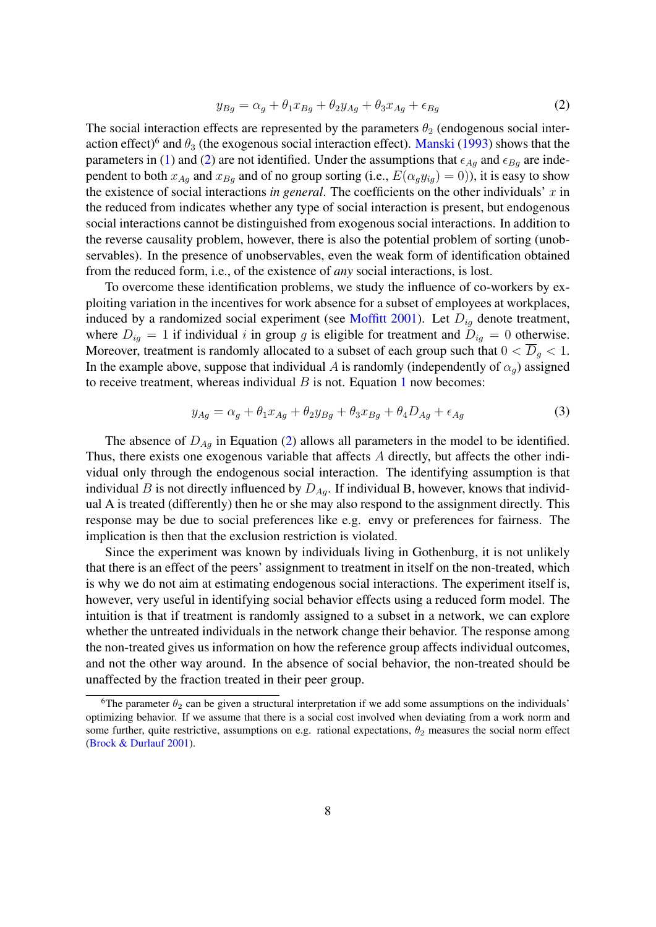<span id="page-9-0"></span>
$$
y_{Bg} = \alpha_g + \theta_1 x_{Bg} + \theta_2 y_{Ag} + \theta_3 x_{Ag} + \epsilon_{Bg} \tag{2}
$$

The social interaction effects are represented by the parameters  $\theta_2$  (endogenous social interaction effect)<sup>6</sup> and  $\theta_3$  (the exogenous social interaction effect). [Manski](#page-22-2) [\(1993\)](#page-22-2) shows that the parameters in [\(1\)](#page-8-0) and [\(2\)](#page-9-0) are not identified. Under the assumptions that  $\epsilon_{Ag}$  and  $\epsilon_{Bg}$  are independent to both  $x_{Aq}$  and  $x_{Bq}$  and of no group sorting (i.e.,  $E(\alpha_q y_{iq}) = 0$ )), it is easy to show the existence of social interactions *in general*. The coefficients on the other individuals'  $x$  in the reduced from indicates whether any type of social interaction is present, but endogenous social interactions cannot be distinguished from exogenous social interactions. In addition to the reverse causality problem, however, there is also the potential problem of sorting (unobservables). In the presence of unobservables, even the weak form of identification obtained from the reduced form, i.e., of the existence of *any* social interactions, is lost.

To overcome these identification problems, we study the influence of co-workers by exploiting variation in the incentives for work absence for a subset of employees at workplaces, induced by a randomized social experiment (see [Moffitt](#page-22-3) [2001\)](#page-22-3). Let  $D_{iq}$  denote treatment, where  $D_{ig} = 1$  if individual i in group g is eligible for treatment and  $D_{ig} = 0$  otherwise. Moreover, treatment is randomly allocated to a subset of each group such that  $0 < \overline{D}_g < 1$ . In the example above, suppose that individual A is randomly (independently of  $\alpha_q$ ) assigned to receive treatment, whereas individual  $B$  is not. Equation [1](#page-8-0) now becomes:

$$
y_{Ag} = \alpha_g + \theta_1 x_{Ag} + \theta_2 y_{Bg} + \theta_3 x_{Bg} + \theta_4 D_{Ag} + \epsilon_{Ag}
$$
\n<sup>(3)</sup>

The absence of  $D_{Ag}$  in Equation [\(2\)](#page-9-0) allows all parameters in the model to be identified. Thus, there exists one exogenous variable that affects A directly, but affects the other individual only through the endogenous social interaction. The identifying assumption is that individual B is not directly influenced by  $D_{Ag}$ . If individual B, however, knows that individual A is treated (differently) then he or she may also respond to the assignment directly. This response may be due to social preferences like e.g. envy or preferences for fairness. The implication is then that the exclusion restriction is violated.

Since the experiment was known by individuals living in Gothenburg, it is not unlikely that there is an effect of the peers' assignment to treatment in itself on the non-treated, which is why we do not aim at estimating endogenous social interactions. The experiment itself is, however, very useful in identifying social behavior effects using a reduced form model. The intuition is that if treatment is randomly assigned to a subset in a network, we can explore whether the untreated individuals in the network change their behavior. The response among the non-treated gives us information on how the reference group affects individual outcomes, and not the other way around. In the absence of social behavior, the non-treated should be unaffected by the fraction treated in their peer group.

<sup>&</sup>lt;sup>6</sup>The parameter  $\theta_2$  can be given a structural interpretation if we add some assumptions on the individuals' optimizing behavior. If we assume that there is a social cost involved when deviating from a work norm and some further, quite restrictive, assumptions on e.g. rational expectations,  $\theta_2$  measures the social norm effect [\(Brock & Durlauf](#page-21-11) [2001\)](#page-21-11).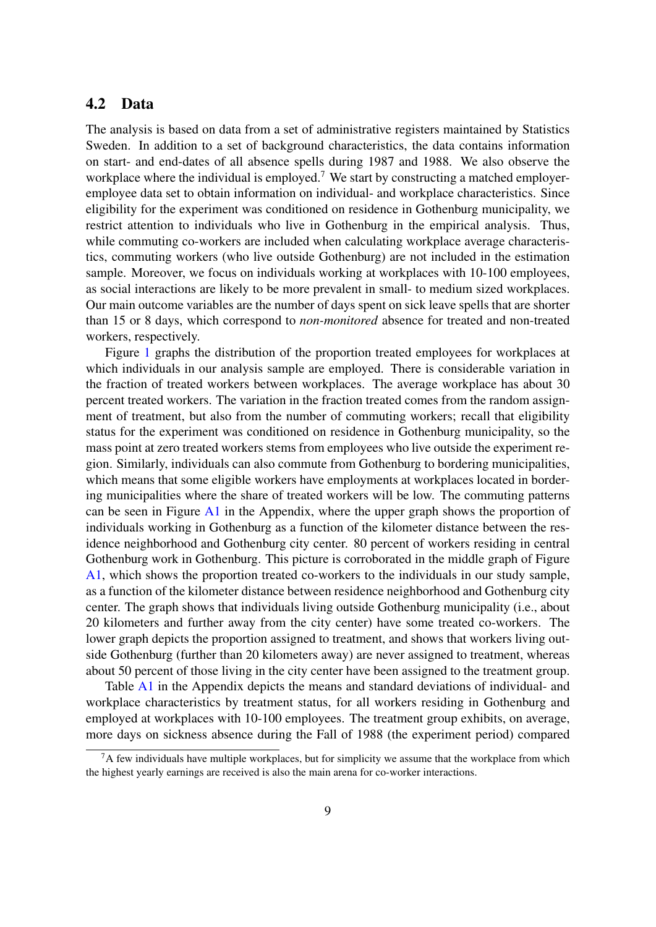#### 4.2 Data

The analysis is based on data from a set of administrative registers maintained by Statistics Sweden. In addition to a set of background characteristics, the data contains information on start- and end-dates of all absence spells during 1987 and 1988. We also observe the workplace where the individual is employed.<sup>7</sup> We start by constructing a matched employeremployee data set to obtain information on individual- and workplace characteristics. Since eligibility for the experiment was conditioned on residence in Gothenburg municipality, we restrict attention to individuals who live in Gothenburg in the empirical analysis. Thus, while commuting co-workers are included when calculating workplace average characteristics, commuting workers (who live outside Gothenburg) are not included in the estimation sample. Moreover, we focus on individuals working at workplaces with 10-100 employees, as social interactions are likely to be more prevalent in small- to medium sized workplaces. Our main outcome variables are the number of days spent on sick leave spells that are shorter than 15 or 8 days, which correspond to *non-monitored* absence for treated and non-treated workers, respectively.

Figure [1](#page-11-0) graphs the distribution of the proportion treated employees for workplaces at which individuals in our analysis sample are employed. There is considerable variation in the fraction of treated workers between workplaces. The average workplace has about 30 percent treated workers. The variation in the fraction treated comes from the random assignment of treatment, but also from the number of commuting workers; recall that eligibility status for the experiment was conditioned on residence in Gothenburg municipality, so the mass point at zero treated workers stems from employees who live outside the experiment region. Similarly, individuals can also commute from Gothenburg to bordering municipalities, which means that some eligible workers have employments at workplaces located in bordering municipalities where the share of treated workers will be low. The commuting patterns can be seen in Figure [A1](#page-23-0) in the Appendix, where the upper graph shows the proportion of individuals working in Gothenburg as a function of the kilometer distance between the residence neighborhood and Gothenburg city center. 80 percent of workers residing in central Gothenburg work in Gothenburg. This picture is corroborated in the middle graph of Figure [A1,](#page-23-0) which shows the proportion treated co-workers to the individuals in our study sample, as a function of the kilometer distance between residence neighborhood and Gothenburg city center. The graph shows that individuals living outside Gothenburg municipality (i.e., about 20 kilometers and further away from the city center) have some treated co-workers. The lower graph depicts the proportion assigned to treatment, and shows that workers living outside Gothenburg (further than 20 kilometers away) are never assigned to treatment, whereas about 50 percent of those living in the city center have been assigned to the treatment group.

Table [A1](#page-24-0) in the Appendix depicts the means and standard deviations of individual- and workplace characteristics by treatment status, for all workers residing in Gothenburg and employed at workplaces with 10-100 employees. The treatment group exhibits, on average, more days on sickness absence during the Fall of 1988 (the experiment period) compared

<sup>&</sup>lt;sup>7</sup>A few individuals have multiple workplaces, but for simplicity we assume that the workplace from which the highest yearly earnings are received is also the main arena for co-worker interactions.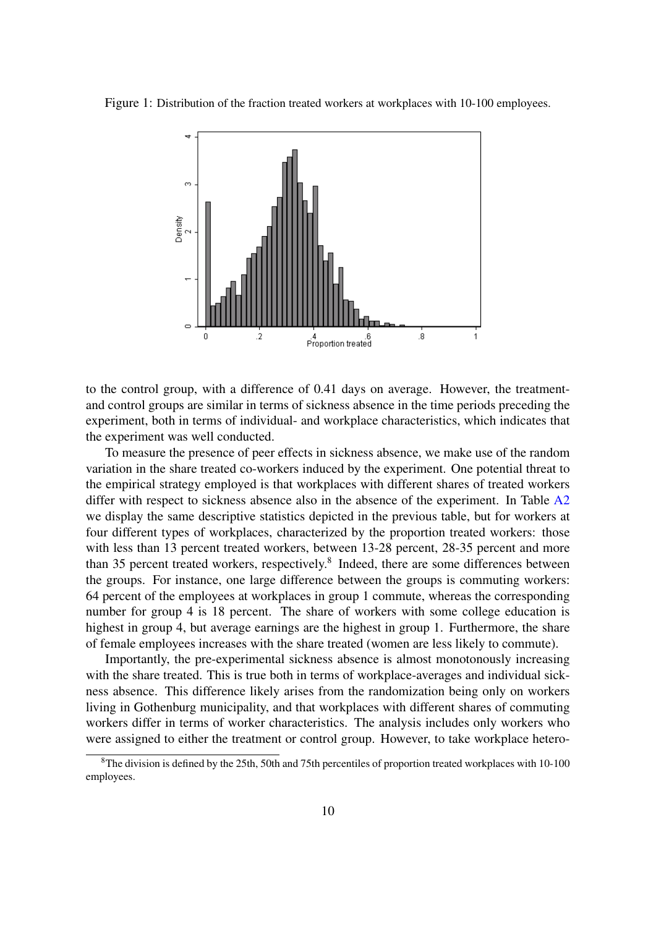<span id="page-11-0"></span>Figure 1: Distribution of the fraction treated workers at workplaces with 10-100 employees.



to the control group, with a difference of 0.41 days on average. However, the treatmentand control groups are similar in terms of sickness absence in the time periods preceding the experiment, both in terms of individual- and workplace characteristics, which indicates that the experiment was well conducted.

To measure the presence of peer effects in sickness absence, we make use of the random variation in the share treated co-workers induced by the experiment. One potential threat to the empirical strategy employed is that workplaces with different shares of treated workers differ with respect to sickness absence also in the absence of the experiment. In Table [A2](#page-25-0) we display the same descriptive statistics depicted in the previous table, but for workers at four different types of workplaces, characterized by the proportion treated workers: those with less than 13 percent treated workers, between 13-28 percent, 28-35 percent and more than 35 percent treated workers, respectively.<sup>8</sup> Indeed, there are some differences between the groups. For instance, one large difference between the groups is commuting workers: 64 percent of the employees at workplaces in group 1 commute, whereas the corresponding number for group 4 is 18 percent. The share of workers with some college education is highest in group 4, but average earnings are the highest in group 1. Furthermore, the share of female employees increases with the share treated (women are less likely to commute).

Importantly, the pre-experimental sickness absence is almost monotonously increasing with the share treated. This is true both in terms of workplace-averages and individual sickness absence. This difference likely arises from the randomization being only on workers living in Gothenburg municipality, and that workplaces with different shares of commuting workers differ in terms of worker characteristics. The analysis includes only workers who were assigned to either the treatment or control group. However, to take workplace hetero-

<sup>8</sup>The division is defined by the 25th, 50th and 75th percentiles of proportion treated workplaces with 10-100 employees.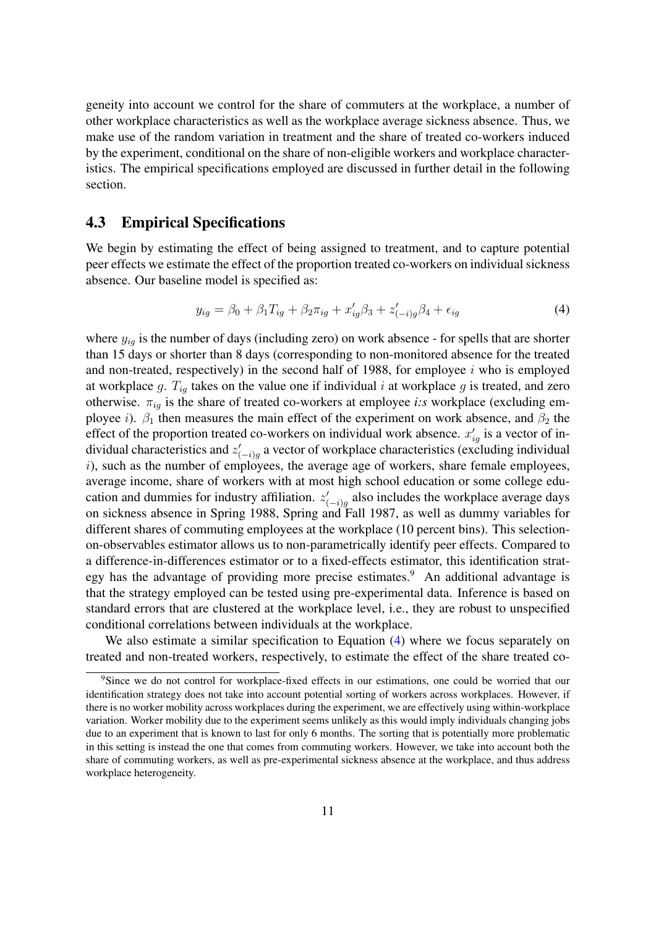geneity into account we control for the share of commuters at the workplace, a number of other workplace characteristics as well as the workplace average sickness absence. Thus, we make use of the random variation in treatment and the share of treated co-workers induced by the experiment, conditional on the share of non-eligible workers and workplace characteristics. The empirical specifications employed are discussed in further detail in the following section.

#### 4.3 Empirical Specifications

We begin by estimating the effect of being assigned to treatment, and to capture potential peer effects we estimate the effect of the proportion treated co-workers on individual sickness absence. Our baseline model is specified as:

<span id="page-12-0"></span>
$$
y_{ig} = \beta_0 + \beta_1 T_{ig} + \beta_2 \pi_{ig} + x'_{ig} \beta_3 + z'_{(-i)g} \beta_4 + \epsilon_{ig}
$$
(4)

where  $y_{ig}$  is the number of days (including zero) on work absence - for spells that are shorter than 15 days or shorter than 8 days (corresponding to non-monitored absence for the treated and non-treated, respectively) in the second half of 1988, for employee  $i$  who is employed at workplace g.  $T_{iq}$  takes on the value one if individual i at workplace g is treated, and zero otherwise.  $\pi_{ia}$  is the share of treated co-workers at employee *i:s* workplace (excluding employee i).  $\beta_1$  then measures the main effect of the experiment on work absence, and  $\beta_2$  the effect of the proportion treated co-workers on individual work absence.  $x'_{ig}$  is a vector of individual characteristics and  $z'_{(-i)g}$  a vector of workplace characteristics (excluding individual  $i$ ), such as the number of employees, the average age of workers, share female employees, average income, share of workers with at most high school education or some college education and dummies for industry affiliation.  $z'_{(-i)g}$  also includes the workplace average days on sickness absence in Spring 1988, Spring and Fall 1987, as well as dummy variables for different shares of commuting employees at the workplace (10 percent bins). This selectionon-observables estimator allows us to non-parametrically identify peer effects. Compared to a difference-in-differences estimator or to a fixed-effects estimator, this identification strategy has the advantage of providing more precise estimates.<sup>9</sup> An additional advantage is that the strategy employed can be tested using pre-experimental data. Inference is based on standard errors that are clustered at the workplace level, i.e., they are robust to unspecified conditional correlations between individuals at the workplace.

We also estimate a similar specification to Equation [\(4\)](#page-12-0) where we focus separately on treated and non-treated workers, respectively, to estimate the effect of the share treated co-

<sup>9</sup>Since we do not control for workplace-fixed effects in our estimations, one could be worried that our identification strategy does not take into account potential sorting of workers across workplaces. However, if there is no worker mobility across workplaces during the experiment, we are effectively using within-workplace variation. Worker mobility due to the experiment seems unlikely as this would imply individuals changing jobs due to an experiment that is known to last for only 6 months. The sorting that is potentially more problematic in this setting is instead the one that comes from commuting workers. However, we take into account both the share of commuting workers, as well as pre-experimental sickness absence at the workplace, and thus address workplace heterogeneity.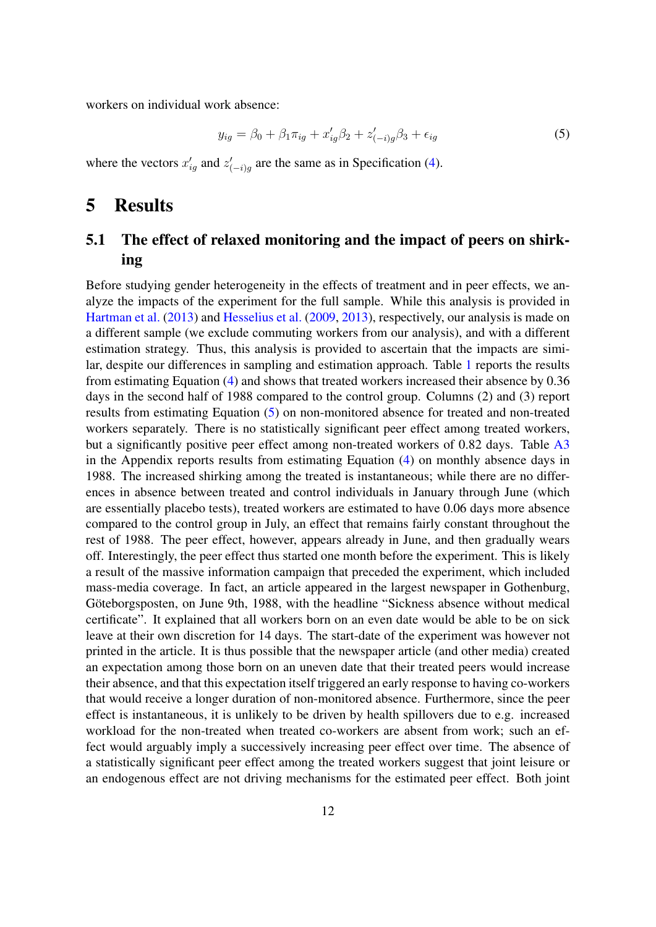workers on individual work absence:

<span id="page-13-0"></span>
$$
y_{ig} = \beta_0 + \beta_1 \pi_{ig} + x'_{ig} \beta_2 + z'_{(-i)g} \beta_3 + \epsilon_{ig}
$$
 (5)

where the vectors  $x_{ig}'$  and  $z_{(-i)g}'$  are the same as in Specification [\(4\)](#page-12-0).

## 5 Results

## 5.1 The effect of relaxed monitoring and the impact of peers on shirking

Before studying gender heterogeneity in the effects of treatment and in peer effects, we analyze the impacts of the experiment for the full sample. While this analysis is provided in [Hartman et al.](#page-21-6) [\(2013\)](#page-21-6) and [Hesselius et al.](#page-21-2) [\(2009,](#page-21-2) [2013\)](#page-21-3), respectively, our analysis is made on a different sample (we exclude commuting workers from our analysis), and with a different estimation strategy. Thus, this analysis is provided to ascertain that the impacts are similar, despite our differences in sampling and estimation approach. Table [1](#page-14-0) reports the results from estimating Equation [\(4\)](#page-12-0) and shows that treated workers increased their absence by 0.36 days in the second half of 1988 compared to the control group. Columns (2) and (3) report results from estimating Equation [\(5\)](#page-13-0) on non-monitored absence for treated and non-treated workers separately. There is no statistically significant peer effect among treated workers, but a significantly positive peer effect among non-treated workers of 0.82 days. Table [A3](#page-26-0) in the Appendix reports results from estimating Equation [\(4\)](#page-12-0) on monthly absence days in 1988. The increased shirking among the treated is instantaneous; while there are no differences in absence between treated and control individuals in January through June (which are essentially placebo tests), treated workers are estimated to have 0.06 days more absence compared to the control group in July, an effect that remains fairly constant throughout the rest of 1988. The peer effect, however, appears already in June, and then gradually wears off. Interestingly, the peer effect thus started one month before the experiment. This is likely a result of the massive information campaign that preceded the experiment, which included mass-media coverage. In fact, an article appeared in the largest newspaper in Gothenburg, Göteborgsposten, on June 9th, 1988, with the headline "Sickness absence without medical certificate". It explained that all workers born on an even date would be able to be on sick leave at their own discretion for 14 days. The start-date of the experiment was however not printed in the article. It is thus possible that the newspaper article (and other media) created an expectation among those born on an uneven date that their treated peers would increase their absence, and that this expectation itself triggered an early response to having co-workers that would receive a longer duration of non-monitored absence. Furthermore, since the peer effect is instantaneous, it is unlikely to be driven by health spillovers due to e.g. increased workload for the non-treated when treated co-workers are absent from work; such an effect would arguably imply a successively increasing peer effect over time. The absence of a statistically significant peer effect among the treated workers suggest that joint leisure or an endogenous effect are not driving mechanisms for the estimated peer effect. Both joint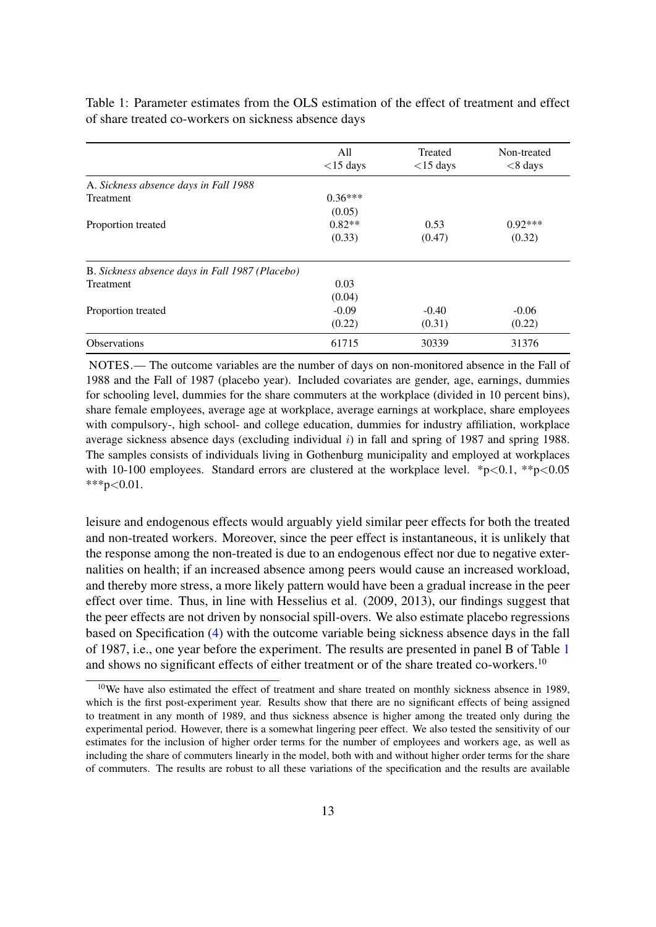<span id="page-14-0"></span>

|                                                 | All<br>$<$ 15 days | Treated<br>$<$ 15 days | Non-treated<br>$< 8$ days |
|-------------------------------------------------|--------------------|------------------------|---------------------------|
| A. Sickness absence days in Fall 1988           |                    |                        |                           |
| <b>Treatment</b>                                | $0.36***$          |                        |                           |
|                                                 | (0.05)             |                        |                           |
| Proportion treated                              | $0.82**$           | 0.53                   | $0.92***$                 |
|                                                 | (0.33)             | (0.47)                 | (0.32)                    |
| B. Sickness absence days in Fall 1987 (Placebo) |                    |                        |                           |
| <b>Treatment</b>                                | 0.03               |                        |                           |
|                                                 | (0.04)             |                        |                           |
| Proportion treated                              | $-0.09$            | $-0.40$                | $-0.06$                   |
|                                                 | (0.22)             | (0.31)                 | (0.22)                    |
| <b>Observations</b>                             | 61715              | 30339                  | 31376                     |

Table 1: Parameter estimates from the OLS estimation of the effect of treatment and effect of share treated co-workers on sickness absence days

NOTES.— The outcome variables are the number of days on non-monitored absence in the Fall of 1988 and the Fall of 1987 (placebo year). Included covariates are gender, age, earnings, dummies for schooling level, dummies for the share commuters at the workplace (divided in 10 percent bins), share female employees, average age at workplace, average earnings at workplace, share employees with compulsory-, high school- and college education, dummies for industry affiliation, workplace average sickness absence days (excluding individual  $i$ ) in fall and spring of 1987 and spring 1988. The samples consists of individuals living in Gothenburg municipality and employed at workplaces with 10-100 employees. Standard errors are clustered at the workplace level.  $*p<0.1$ ,  $*p<0.05$ \*\*\*p<0.01.

leisure and endogenous effects would arguably yield similar peer effects for both the treated and non-treated workers. Moreover, since the peer effect is instantaneous, it is unlikely that the response among the non-treated is due to an endogenous effect nor due to negative externalities on health; if an increased absence among peers would cause an increased workload, and thereby more stress, a more likely pattern would have been a gradual increase in the peer effect over time. Thus, in line with Hesselius et al. (2009, 2013), our findings suggest that the peer effects are not driven by nonsocial spill-overs. We also estimate placebo regressions based on Specification [\(4\)](#page-12-0) with the outcome variable being sickness absence days in the fall of 1987, i.e., one year before the experiment. The results are presented in panel B of Table [1](#page-14-0) and shows no significant effects of either treatment or of the share treated co-workers.<sup>10</sup>

<sup>&</sup>lt;sup>10</sup>We have also estimated the effect of treatment and share treated on monthly sickness absence in 1989, which is the first post-experiment year. Results show that there are no significant effects of being assigned to treatment in any month of 1989, and thus sickness absence is higher among the treated only during the experimental period. However, there is a somewhat lingering peer effect. We also tested the sensitivity of our estimates for the inclusion of higher order terms for the number of employees and workers age, as well as including the share of commuters linearly in the model, both with and without higher order terms for the share of commuters. The results are robust to all these variations of the specification and the results are available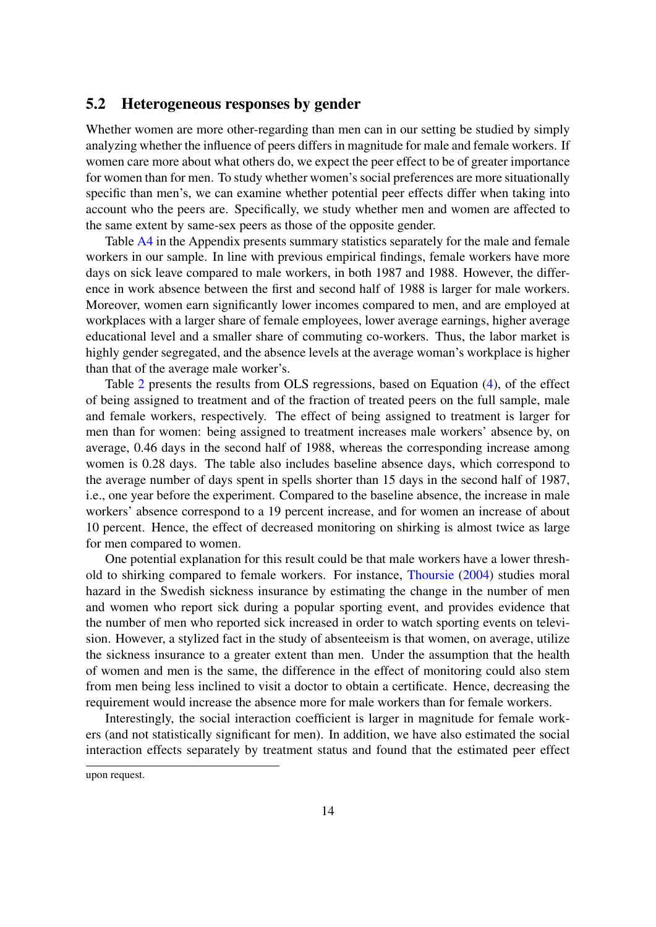#### 5.2 Heterogeneous responses by gender

Whether women are more other-regarding than men can in our setting be studied by simply analyzing whether the influence of peers differs in magnitude for male and female workers. If women care more about what others do, we expect the peer effect to be of greater importance for women than for men. To study whether women's social preferences are more situationally specific than men's, we can examine whether potential peer effects differ when taking into account who the peers are. Specifically, we study whether men and women are affected to the same extent by same-sex peers as those of the opposite gender.

Table [A4](#page-27-0) in the Appendix presents summary statistics separately for the male and female workers in our sample. In line with previous empirical findings, female workers have more days on sick leave compared to male workers, in both 1987 and 1988. However, the difference in work absence between the first and second half of 1988 is larger for male workers. Moreover, women earn significantly lower incomes compared to men, and are employed at workplaces with a larger share of female employees, lower average earnings, higher average educational level and a smaller share of commuting co-workers. Thus, the labor market is highly gender segregated, and the absence levels at the average woman's workplace is higher than that of the average male worker's.

Table [2](#page-16-0) presents the results from OLS regressions, based on Equation [\(4\)](#page-12-0), of the effect of being assigned to treatment and of the fraction of treated peers on the full sample, male and female workers, respectively. The effect of being assigned to treatment is larger for men than for women: being assigned to treatment increases male workers' absence by, on average, 0.46 days in the second half of 1988, whereas the corresponding increase among women is 0.28 days. The table also includes baseline absence days, which correspond to the average number of days spent in spells shorter than 15 days in the second half of 1987, i.e., one year before the experiment. Compared to the baseline absence, the increase in male workers' absence correspond to a 19 percent increase, and for women an increase of about 10 percent. Hence, the effect of decreased monitoring on shirking is almost twice as large for men compared to women.

One potential explanation for this result could be that male workers have a lower threshold to shirking compared to female workers. For instance, [Thoursie](#page-22-8) [\(2004\)](#page-22-8) studies moral hazard in the Swedish sickness insurance by estimating the change in the number of men and women who report sick during a popular sporting event, and provides evidence that the number of men who reported sick increased in order to watch sporting events on television. However, a stylized fact in the study of absenteeism is that women, on average, utilize the sickness insurance to a greater extent than men. Under the assumption that the health of women and men is the same, the difference in the effect of monitoring could also stem from men being less inclined to visit a doctor to obtain a certificate. Hence, decreasing the requirement would increase the absence more for male workers than for female workers.

Interestingly, the social interaction coefficient is larger in magnitude for female workers (and not statistically significant for men). In addition, we have also estimated the social interaction effects separately by treatment status and found that the estimated peer effect

upon request.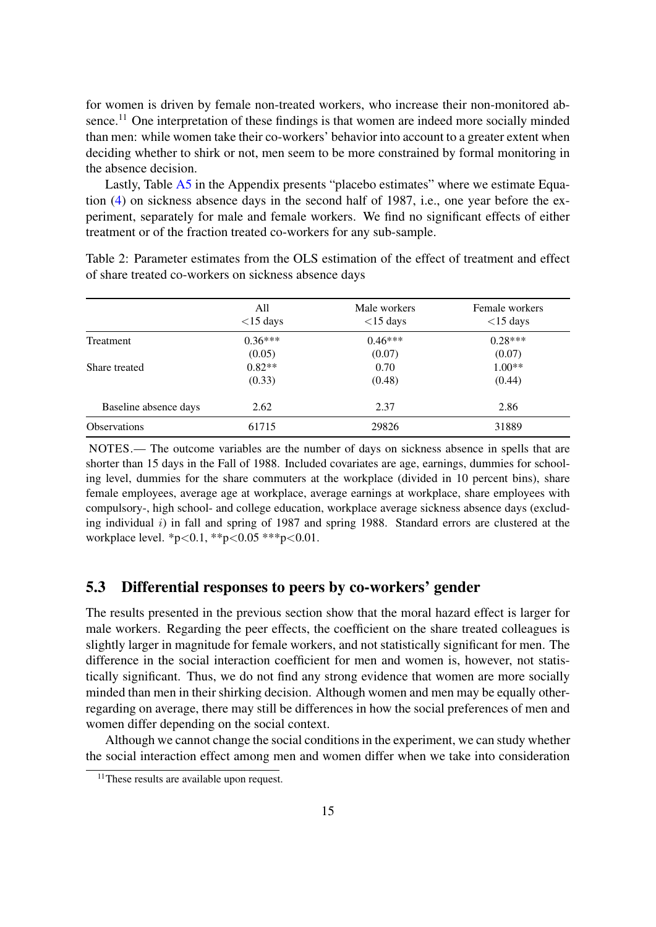for women is driven by female non-treated workers, who increase their non-monitored absence.<sup>11</sup> One interpretation of these findings is that women are indeed more socially minded than men: while women take their co-workers' behavior into account to a greater extent when deciding whether to shirk or not, men seem to be more constrained by formal monitoring in the absence decision.

Lastly, Table [A5](#page-28-0) in the Appendix presents "placebo estimates" where we estimate Equation [\(4\)](#page-12-0) on sickness absence days in the second half of 1987, i.e., one year before the experiment, separately for male and female workers. We find no significant effects of either treatment or of the fraction treated co-workers for any sub-sample.

<span id="page-16-0"></span>

|                       | All<br>$<$ 15 days | Male workers<br>$<$ 15 days | Female workers<br>$<$ 15 days |
|-----------------------|--------------------|-----------------------------|-------------------------------|
| <b>Treatment</b>      | $0.36***$          | $0.46***$                   | $0.28***$                     |
|                       | (0.05)             | (0.07)                      | (0.07)                        |
| Share treated         | $0.82**$           | 0.70                        | $1.00**$                      |
|                       | (0.33)             | (0.48)                      | (0.44)                        |
| Baseline absence days | 2.62               | 2.37                        | 2.86                          |
| <b>Observations</b>   | 61715              | 29826                       | 31889                         |

Table 2: Parameter estimates from the OLS estimation of the effect of treatment and effect of share treated co-workers on sickness absence days

NOTES.— The outcome variables are the number of days on sickness absence in spells that are shorter than 15 days in the Fall of 1988. Included covariates are age, earnings, dummies for schooling level, dummies for the share commuters at the workplace (divided in 10 percent bins), share female employees, average age at workplace, average earnings at workplace, share employees with compulsory-, high school- and college education, workplace average sickness absence days (excluding individual i) in fall and spring of 1987 and spring 1988. Standard errors are clustered at the workplace level. \*p<0.1, \*\*p<0.05 \*\*\*p<0.01.

## 5.3 Differential responses to peers by co-workers' gender

The results presented in the previous section show that the moral hazard effect is larger for male workers. Regarding the peer effects, the coefficient on the share treated colleagues is slightly larger in magnitude for female workers, and not statistically significant for men. The difference in the social interaction coefficient for men and women is, however, not statistically significant. Thus, we do not find any strong evidence that women are more socially minded than men in their shirking decision. Although women and men may be equally otherregarding on average, there may still be differences in how the social preferences of men and women differ depending on the social context.

Although we cannot change the social conditions in the experiment, we can study whether the social interaction effect among men and women differ when we take into consideration

<sup>&</sup>lt;sup>11</sup>These results are available upon request.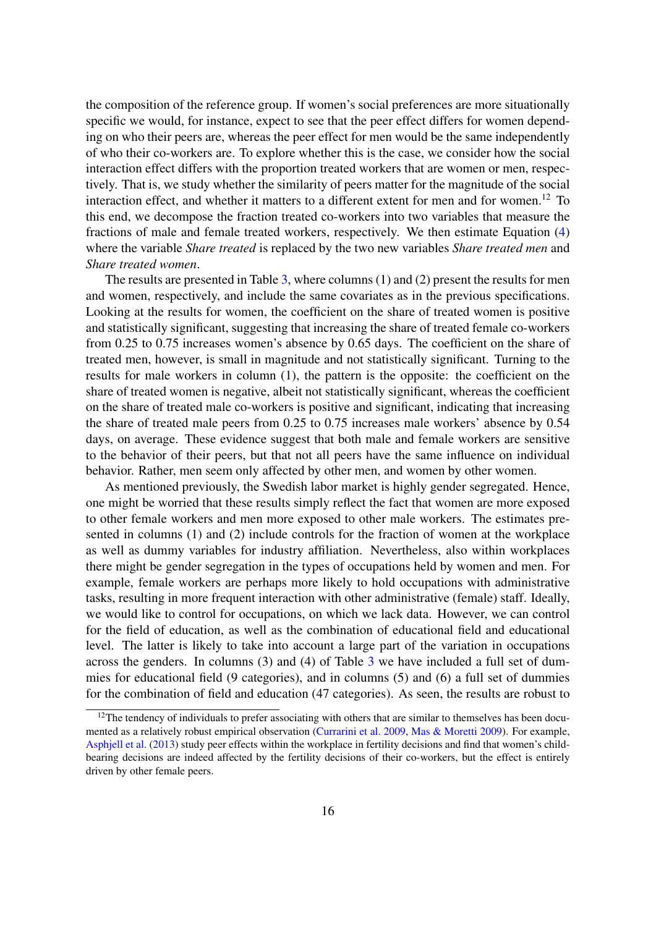the composition of the reference group. If women's social preferences are more situationally specific we would, for instance, expect to see that the peer effect differs for women depending on who their peers are, whereas the peer effect for men would be the same independently of who their co-workers are. To explore whether this is the case, we consider how the social interaction effect differs with the proportion treated workers that are women or men, respectively. That is, we study whether the similarity of peers matter for the magnitude of the social interaction effect, and whether it matters to a different extent for men and for women.<sup>12</sup> To this end, we decompose the fraction treated co-workers into two variables that measure the fractions of male and female treated workers, respectively. We then estimate Equation [\(4\)](#page-12-0) where the variable *Share treated* is replaced by the two new variables *Share treated men* and *Share treated women*.

The results are presented in Table [3,](#page-19-0) where columns (1) and (2) present the results for men and women, respectively, and include the same covariates as in the previous specifications. Looking at the results for women, the coefficient on the share of treated women is positive and statistically significant, suggesting that increasing the share of treated female co-workers from 0.25 to 0.75 increases women's absence by 0.65 days. The coefficient on the share of treated men, however, is small in magnitude and not statistically significant. Turning to the results for male workers in column (1), the pattern is the opposite: the coefficient on the share of treated women is negative, albeit not statistically significant, whereas the coefficient on the share of treated male co-workers is positive and significant, indicating that increasing the share of treated male peers from 0.25 to 0.75 increases male workers' absence by 0.54 days, on average. These evidence suggest that both male and female workers are sensitive to the behavior of their peers, but that not all peers have the same influence on individual behavior. Rather, men seem only affected by other men, and women by other women.

As mentioned previously, the Swedish labor market is highly gender segregated. Hence, one might be worried that these results simply reflect the fact that women are more exposed to other female workers and men more exposed to other male workers. The estimates presented in columns (1) and (2) include controls for the fraction of women at the workplace as well as dummy variables for industry affiliation. Nevertheless, also within workplaces there might be gender segregation in the types of occupations held by women and men. For example, female workers are perhaps more likely to hold occupations with administrative tasks, resulting in more frequent interaction with other administrative (female) staff. Ideally, we would like to control for occupations, on which we lack data. However, we can control for the field of education, as well as the combination of educational field and educational level. The latter is likely to take into account a large part of the variation in occupations across the genders. In columns (3) and (4) of Table [3](#page-19-0) we have included a full set of dummies for educational field (9 categories), and in columns (5) and (6) a full set of dummies for the combination of field and education (47 categories). As seen, the results are robust to

 $12$ The tendency of individuals to prefer associating with others that are similar to themselves has been documented as a relatively robust empirical observation [\(Currarini et al.](#page-21-12) [2009,](#page-21-12) [Mas & Moretti](#page-22-5) [2009\)](#page-22-5). For example, [Asphjell et al.](#page-21-13) [\(2013\)](#page-21-13) study peer effects within the workplace in fertility decisions and find that women's childbearing decisions are indeed affected by the fertility decisions of their co-workers, but the effect is entirely driven by other female peers.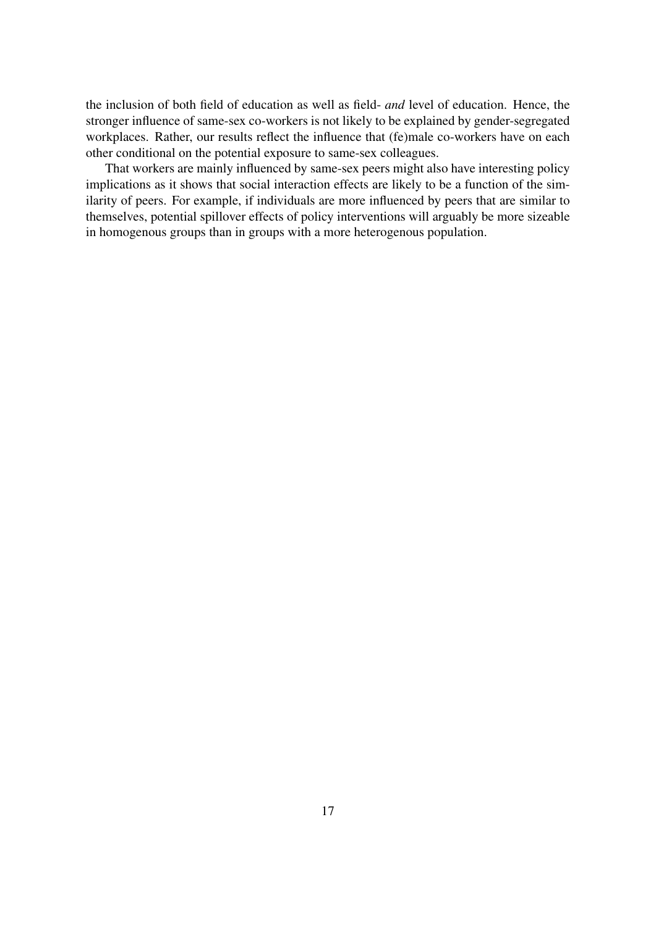the inclusion of both field of education as well as field- *and* level of education. Hence, the stronger influence of same-sex co-workers is not likely to be explained by gender-segregated workplaces. Rather, our results reflect the influence that (fe)male co-workers have on each other conditional on the potential exposure to same-sex colleagues.

That workers are mainly influenced by same-sex peers might also have interesting policy implications as it shows that social interaction effects are likely to be a function of the similarity of peers. For example, if individuals are more influenced by peers that are similar to themselves, potential spillover effects of policy interventions will arguably be more sizeable in homogenous groups than in groups with a more heterogenous population.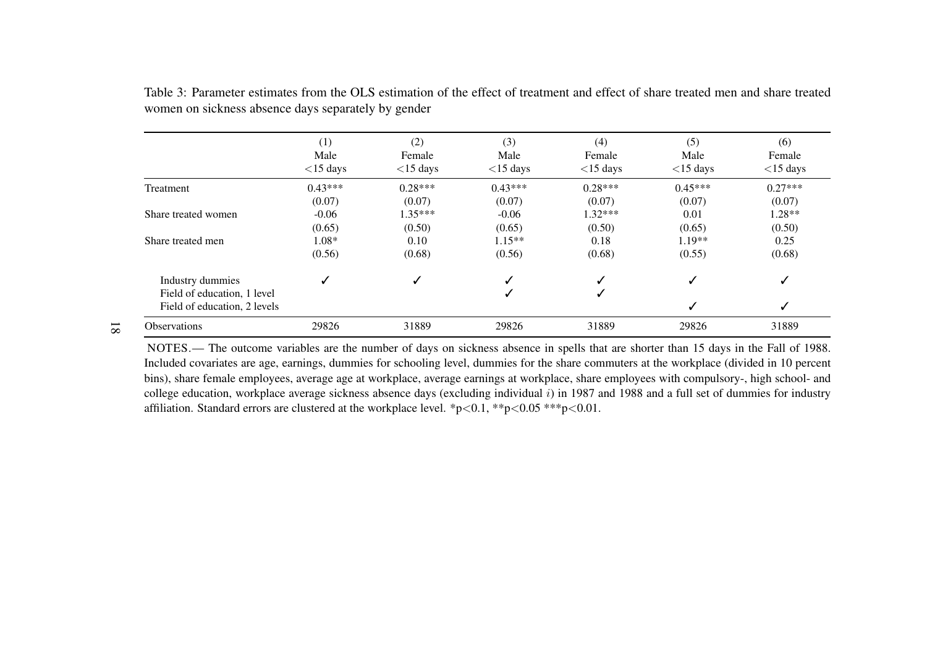|                                                 | (1)<br>Male<br>$<$ 15 days | (2)<br>Female<br>$<$ 15 days | (3)<br>Male<br>$<$ 15 days | (4)<br>Female<br>$<$ 15 days | (5)<br>Male<br>$<$ 15 days | (6)<br>Female<br>$<$ 15 days |
|-------------------------------------------------|----------------------------|------------------------------|----------------------------|------------------------------|----------------------------|------------------------------|
| Treatment                                       | $0.43***$                  | $0.28***$                    | $0.43***$                  | $0.28***$                    | $0.45***$                  | $0.27***$                    |
|                                                 | (0.07)                     | (0.07)                       | (0.07)                     | (0.07)                       | (0.07)                     | (0.07)                       |
| Share treated women                             | $-0.06$                    | $1.35***$                    | $-0.06$                    | $1.32***$                    | 0.01                       | 1.28**                       |
|                                                 | (0.65)                     | (0.50)                       | (0.65)                     | (0.50)                       | (0.65)                     | (0.50)                       |
| Share treated men                               | $1.08*$                    | 0.10                         | $1.15**$                   | 0.18                         | $1.19**$                   | 0.25                         |
|                                                 | (0.56)                     | (0.68)                       | (0.56)                     | (0.68)                       | (0.55)                     | (0.68)                       |
| Industry dummies<br>Field of education, 1 level | $\checkmark$               | ✓                            |                            |                              | ✓                          | ✓                            |
| Field of education, 2 levels                    |                            |                              |                            |                              |                            | ✓                            |
| <b>Observations</b>                             | 29826                      | 31889                        | 29826                      | 31889                        | 29826                      | 31889                        |

Table 3: Parameter estimates from the OLS estimation of the effect of treatment and effect of share treated men and share treatedwomen on sickness absence days separately by gender

NOTES.— The outcome variables are the number of days on sickness absence in spells that are shorter than 15 days in the Fall of 1988.Included covariates are age, earnings, dummies for schooling level, dummies for the share commuters at the workplace (divided in 10 percen<sup>t</sup>bins), share female employees, average age at workplace, average earnings at workplace, share employees with compulsory-, high school- and college education, workplace average sickness absence days (excluding individual <sup>i</sup>) in 1987 and 1988 and <sup>a</sup> full set of dummies for industryaffiliation. Standard errors are clustered at the workplace level.  $\frac{*p}{0.1}$ ,  $\frac{*p}{0.05}$   $\frac{***p}{0.01}$ .

<span id="page-19-0"></span>18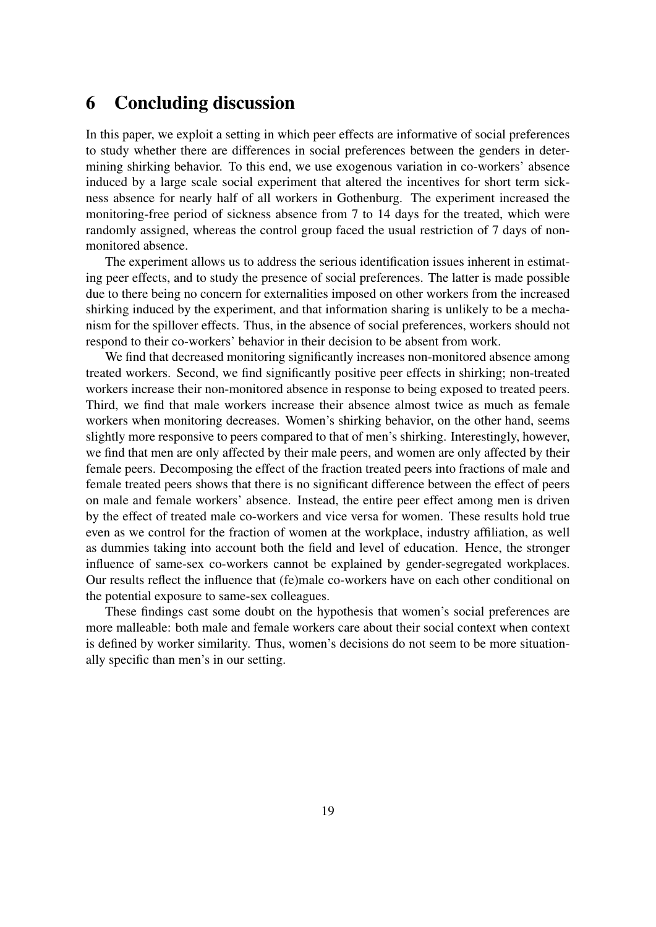## 6 Concluding discussion

In this paper, we exploit a setting in which peer effects are informative of social preferences to study whether there are differences in social preferences between the genders in determining shirking behavior. To this end, we use exogenous variation in co-workers' absence induced by a large scale social experiment that altered the incentives for short term sickness absence for nearly half of all workers in Gothenburg. The experiment increased the monitoring-free period of sickness absence from 7 to 14 days for the treated, which were randomly assigned, whereas the control group faced the usual restriction of 7 days of nonmonitored absence.

The experiment allows us to address the serious identification issues inherent in estimating peer effects, and to study the presence of social preferences. The latter is made possible due to there being no concern for externalities imposed on other workers from the increased shirking induced by the experiment, and that information sharing is unlikely to be a mechanism for the spillover effects. Thus, in the absence of social preferences, workers should not respond to their co-workers' behavior in their decision to be absent from work.

We find that decreased monitoring significantly increases non-monitored absence among treated workers. Second, we find significantly positive peer effects in shirking; non-treated workers increase their non-monitored absence in response to being exposed to treated peers. Third, we find that male workers increase their absence almost twice as much as female workers when monitoring decreases. Women's shirking behavior, on the other hand, seems slightly more responsive to peers compared to that of men's shirking. Interestingly, however, we find that men are only affected by their male peers, and women are only affected by their female peers. Decomposing the effect of the fraction treated peers into fractions of male and female treated peers shows that there is no significant difference between the effect of peers on male and female workers' absence. Instead, the entire peer effect among men is driven by the effect of treated male co-workers and vice versa for women. These results hold true even as we control for the fraction of women at the workplace, industry affiliation, as well as dummies taking into account both the field and level of education. Hence, the stronger influence of same-sex co-workers cannot be explained by gender-segregated workplaces. Our results reflect the influence that (fe)male co-workers have on each other conditional on the potential exposure to same-sex colleagues.

These findings cast some doubt on the hypothesis that women's social preferences are more malleable: both male and female workers care about their social context when context is defined by worker similarity. Thus, women's decisions do not seem to be more situationally specific than men's in our setting.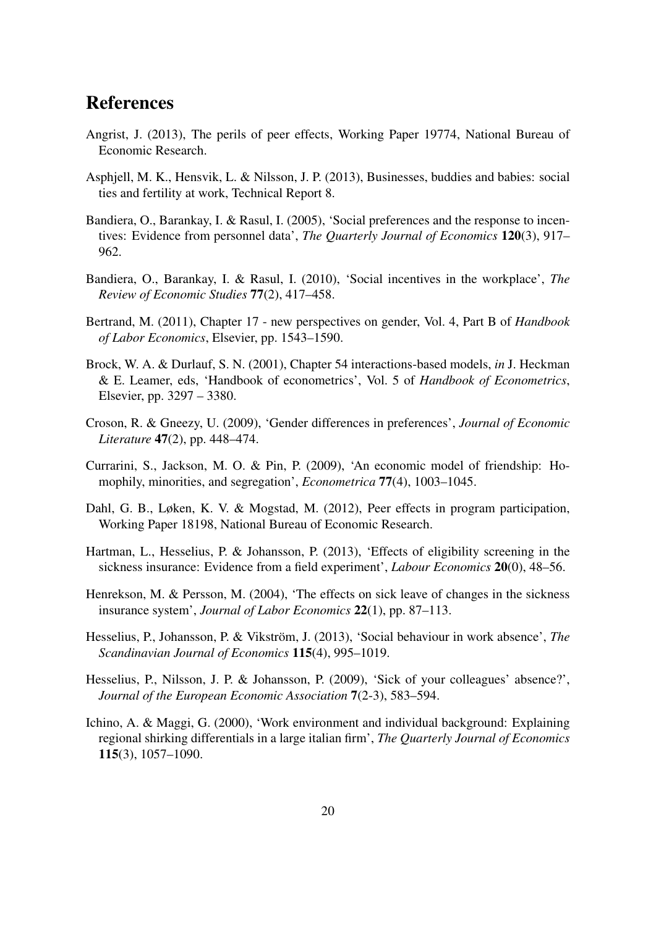## References

- <span id="page-21-5"></span>Angrist, J. (2013), The perils of peer effects, Working Paper 19774, National Bureau of Economic Research.
- <span id="page-21-13"></span>Asphjell, M. K., Hensvik, L. & Nilsson, J. P. (2013), Businesses, buddies and babies: social ties and fertility at work, Technical Report 8.
- <span id="page-21-8"></span>Bandiera, O., Barankay, I. & Rasul, I. (2005), 'Social preferences and the response to incentives: Evidence from personnel data', *The Quarterly Journal of Economics* 120(3), 917– 962.
- <span id="page-21-9"></span>Bandiera, O., Barankay, I. & Rasul, I. (2010), 'Social incentives in the workplace', *The Review of Economic Studies* 77(2), 417–458.
- <span id="page-21-0"></span>Bertrand, M. (2011), Chapter 17 - new perspectives on gender, Vol. 4, Part B of *Handbook of Labor Economics*, Elsevier, pp. 1543–1590.
- <span id="page-21-11"></span>Brock, W. A. & Durlauf, S. N. (2001), Chapter 54 interactions-based models, *in* J. Heckman & E. Leamer, eds, 'Handbook of econometrics', Vol. 5 of *Handbook of Econometrics*, Elsevier, pp. 3297 – 3380.
- <span id="page-21-1"></span>Croson, R. & Gneezy, U. (2009), 'Gender differences in preferences', *Journal of Economic Literature* 47(2), pp. 448–474.
- <span id="page-21-12"></span>Currarini, S., Jackson, M. O. & Pin, P. (2009), 'An economic model of friendship: Homophily, minorities, and segregation', *Econometrica* 77(4), 1003–1045.
- <span id="page-21-7"></span>Dahl, G. B., Løken, K. V. & Mogstad, M. (2012), Peer effects in program participation, Working Paper 18198, National Bureau of Economic Research.
- <span id="page-21-6"></span>Hartman, L., Hesselius, P. & Johansson, P. (2013), 'Effects of eligibility screening in the sickness insurance: Evidence from a field experiment', *Labour Economics* 20(0), 48–56.
- <span id="page-21-10"></span>Henrekson, M. & Persson, M. (2004), 'The effects on sick leave of changes in the sickness insurance system', *Journal of Labor Economics* 22(1), pp. 87–113.
- <span id="page-21-3"></span>Hesselius, P., Johansson, P. & Vikström, J. (2013), 'Social behaviour in work absence', *The Scandinavian Journal of Economics* 115(4), 995–1019.
- <span id="page-21-2"></span>Hesselius, P., Nilsson, J. P. & Johansson, P. (2009), 'Sick of your colleagues' absence?', *Journal of the European Economic Association* 7(2-3), 583–594.
- <span id="page-21-4"></span>Ichino, A. & Maggi, G. (2000), 'Work environment and individual background: Explaining regional shirking differentials in a large italian firm', *The Quarterly Journal of Economics* 115(3), 1057–1090.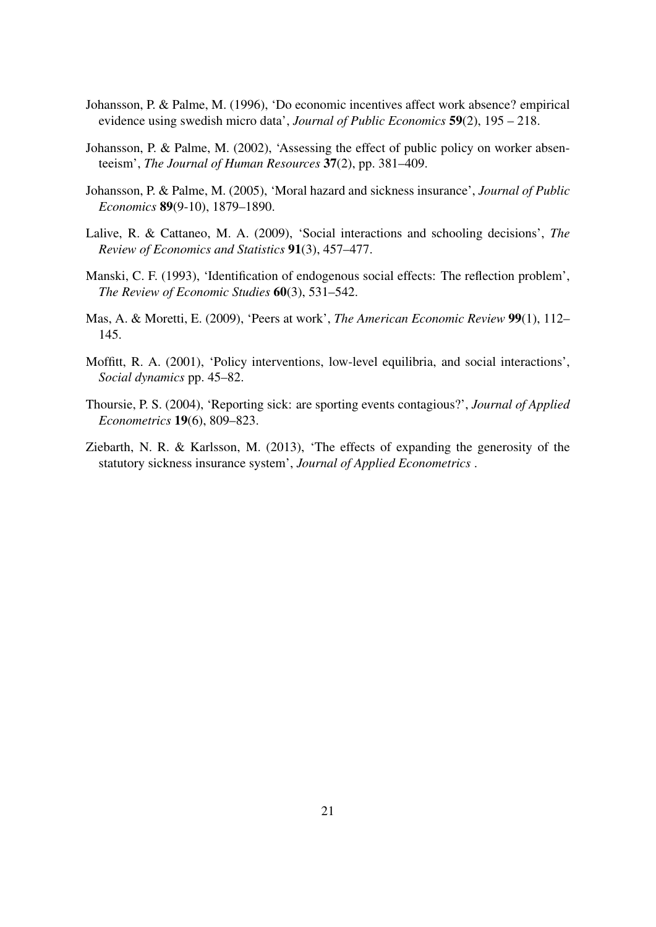- <span id="page-22-6"></span>Johansson, P. & Palme, M. (1996), 'Do economic incentives affect work absence? empirical evidence using swedish micro data', *Journal of Public Economics* 59(2), 195 – 218.
- <span id="page-22-7"></span>Johansson, P. & Palme, M. (2002), 'Assessing the effect of public policy on worker absenteeism', *The Journal of Human Resources* 37(2), pp. 381–409.
- <span id="page-22-0"></span>Johansson, P. & Palme, M. (2005), 'Moral hazard and sickness insurance', *Journal of Public Economics* 89(9-10), 1879–1890.
- <span id="page-22-4"></span>Lalive, R. & Cattaneo, M. A. (2009), 'Social interactions and schooling decisions', *The Review of Economics and Statistics* 91(3), 457–477.
- <span id="page-22-2"></span>Manski, C. F. (1993), 'Identification of endogenous social effects: The reflection problem', *The Review of Economic Studies* 60(3), 531–542.
- <span id="page-22-5"></span>Mas, A. & Moretti, E. (2009), 'Peers at work', *The American Economic Review* 99(1), 112– 145.
- <span id="page-22-3"></span>Moffitt, R. A. (2001), 'Policy interventions, low-level equilibria, and social interactions', *Social dynamics* pp. 45–82.
- <span id="page-22-8"></span>Thoursie, P. S. (2004), 'Reporting sick: are sporting events contagious?', *Journal of Applied Econometrics* 19(6), 809–823.
- <span id="page-22-1"></span>Ziebarth, N. R. & Karlsson, M. (2013), 'The effects of expanding the generosity of the statutory sickness insurance system', *Journal of Applied Econometrics* .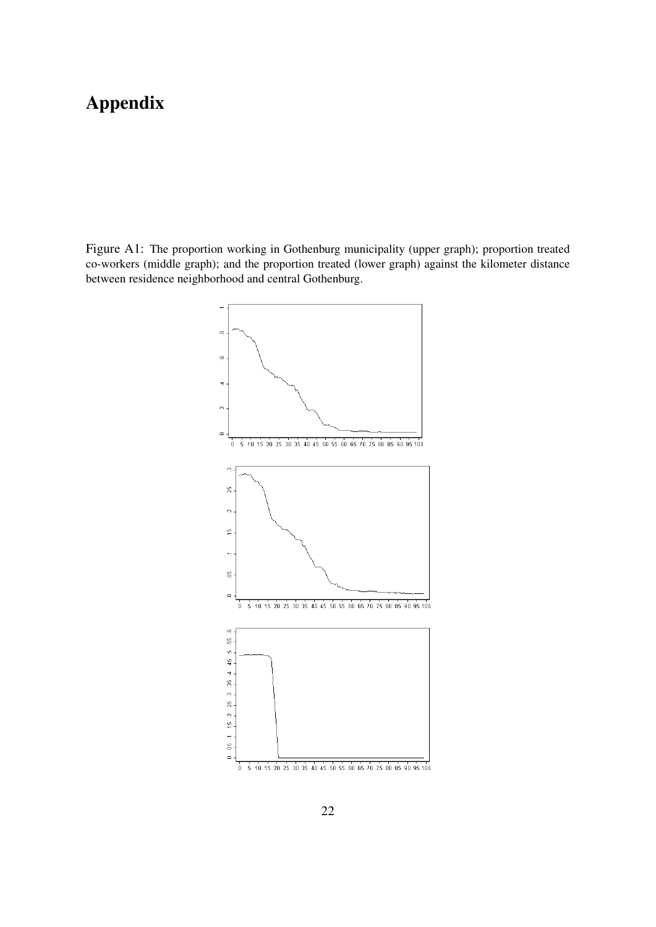# Appendix

<span id="page-23-0"></span>Figure A1: The proportion working in Gothenburg municipality (upper graph); proportion treated co-workers (middle graph); and the proportion treated (lower graph) against the kilometer distance between residence neighborhood and central Gothenburg.

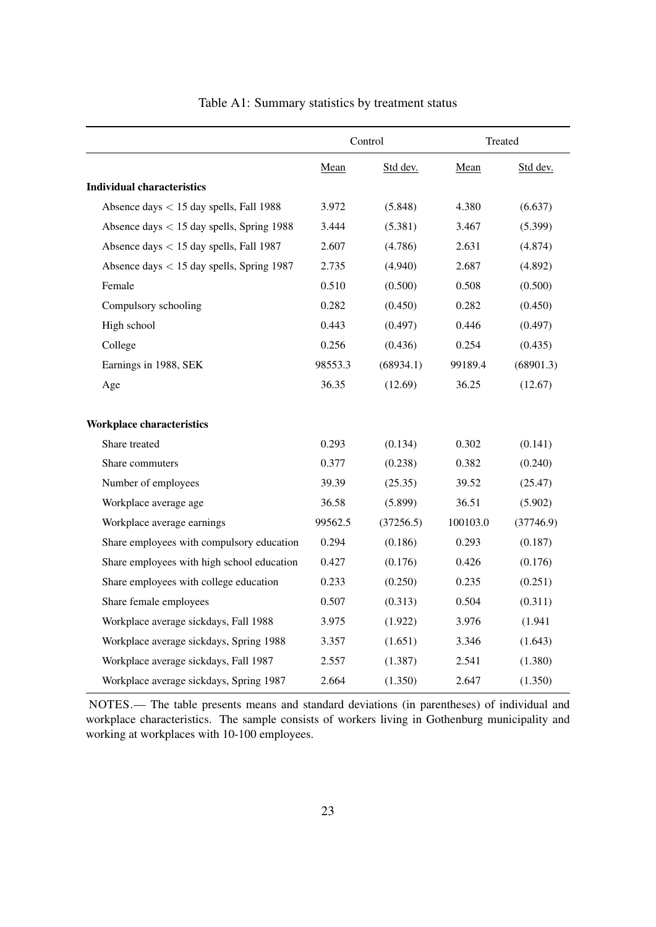<span id="page-24-0"></span>

|                                             | Control |           | Treated  |           |
|---------------------------------------------|---------|-----------|----------|-----------|
|                                             | Mean    | Std dev.  | Mean     | Std dev.  |
| <b>Individual characteristics</b>           |         |           |          |           |
| Absence days $<$ 15 day spells, Fall 1988   | 3.972   | (5.848)   | 4.380    | (6.637)   |
| Absence days $<$ 15 day spells, Spring 1988 | 3.444   | (5.381)   | 3.467    | (5.399)   |
| Absence days < 15 day spells, Fall 1987     | 2.607   | (4.786)   | 2.631    | (4.874)   |
| Absence days $<$ 15 day spells, Spring 1987 | 2.735   | (4.940)   | 2.687    | (4.892)   |
| Female                                      | 0.510   | (0.500)   | 0.508    | (0.500)   |
| Compulsory schooling                        | 0.282   | (0.450)   | 0.282    | (0.450)   |
| High school                                 | 0.443   | (0.497)   | 0.446    | (0.497)   |
| College                                     | 0.256   | (0.436)   | 0.254    | (0.435)   |
| Earnings in 1988, SEK                       | 98553.3 | (68934.1) | 99189.4  | (68901.3) |
| Age                                         | 36.35   | (12.69)   | 36.25    | (12.67)   |
| <b>Workplace characteristics</b>            |         |           |          |           |
| Share treated                               | 0.293   | (0.134)   | 0.302    | (0.141)   |
| Share commuters                             | 0.377   | (0.238)   | 0.382    | (0.240)   |
| Number of employees                         | 39.39   | (25.35)   | 39.52    | (25.47)   |
| Workplace average age                       | 36.58   | (5.899)   | 36.51    | (5.902)   |
| Workplace average earnings                  | 99562.5 | (37256.5) | 100103.0 | (37746.9) |
| Share employees with compulsory education   | 0.294   | (0.186)   | 0.293    | (0.187)   |
| Share employees with high school education  | 0.427   | (0.176)   | 0.426    | (0.176)   |
| Share employees with college education      | 0.233   | (0.250)   | 0.235    | (0.251)   |
| Share female employees                      | 0.507   | (0.313)   | 0.504    | (0.311)   |
| Workplace average sickdays, Fall 1988       | 3.975   | (1.922)   | 3.976    | (1.941)   |
| Workplace average sickdays, Spring 1988     | 3.357   | (1.651)   | 3.346    | (1.643)   |
| Workplace average sickdays, Fall 1987       | 2.557   | (1.387)   | 2.541    | (1.380)   |
| Workplace average sickdays, Spring 1987     | 2.664   | (1.350)   | 2.647    | (1.350)   |

Table A1: Summary statistics by treatment status

NOTES.— The table presents means and standard deviations (in parentheses) of individual and workplace characteristics. The sample consists of workers living in Gothenburg municipality and working at workplaces with 10-100 employees.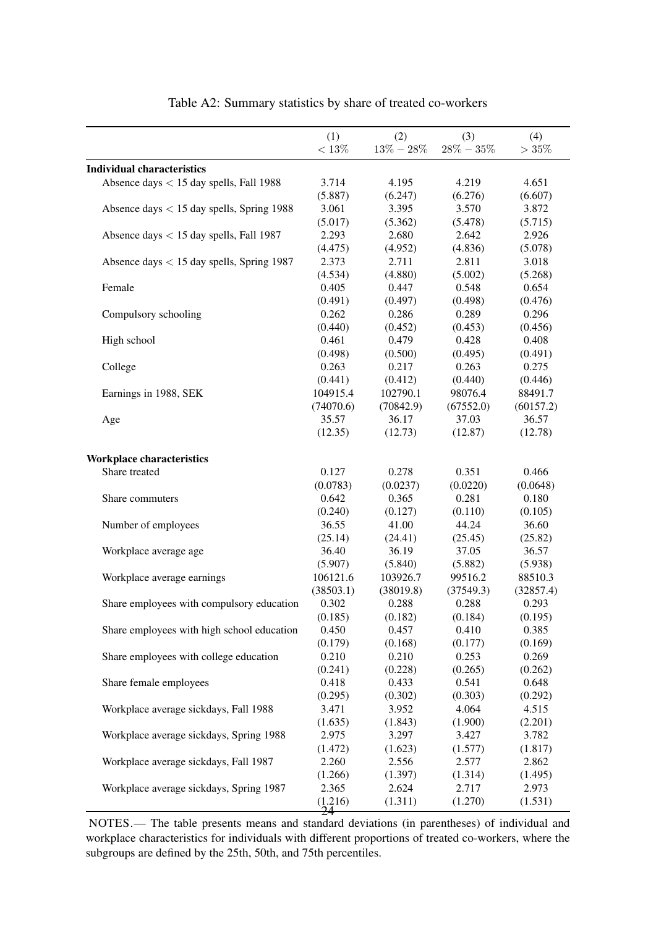<span id="page-25-0"></span>

|                                             | (1)       | (2)           | (3)           | (4)       |
|---------------------------------------------|-----------|---------------|---------------|-----------|
|                                             | $<13\%$   | $13\% - 28\%$ | $28\% - 35\%$ | >35%      |
| <b>Individual characteristics</b>           |           |               |               |           |
| Absence days $<$ 15 day spells, Fall 1988   | 3.714     | 4.195         | 4.219         | 4.651     |
|                                             | (5.887)   | (6.247)       | (6.276)       | (6.607)   |
| Absence days $<$ 15 day spells, Spring 1988 | 3.061     | 3.395         | 3.570         | 3.872     |
|                                             | (5.017)   | (5.362)       | (5.478)       | (5.715)   |
| Absence days $<$ 15 day spells, Fall 1987   | 2.293     | 2.680         | 2.642         | 2.926     |
|                                             | (4.475)   | (4.952)       | (4.836)       | (5.078)   |
| Absence days $<$ 15 day spells, Spring 1987 | 2.373     | 2.711         | 2.811         | 3.018     |
|                                             | (4.534)   | (4.880)       | (5.002)       | (5.268)   |
| Female                                      | 0.405     | 0.447         | 0.548         | 0.654     |
|                                             | (0.491)   | (0.497)       | (0.498)       | (0.476)   |
| Compulsory schooling                        | 0.262     | 0.286         | 0.289         | 0.296     |
|                                             | (0.440)   | (0.452)       | (0.453)       | (0.456)   |
| High school                                 | 0.461     | 0.479         | 0.428         | 0.408     |
|                                             | (0.498)   | (0.500)       | (0.495)       | (0.491)   |
| College                                     | 0.263     | 0.217         | 0.263         | 0.275     |
|                                             | (0.441)   | (0.412)       | (0.440)       | (0.446)   |
| Earnings in 1988, SEK                       | 104915.4  | 102790.1      | 98076.4       | 88491.7   |
|                                             | (74070.6) | (70842.9)     | (67552.0)     | (60157.2) |
| Age                                         | 35.57     | 36.17         | 37.03         | 36.57     |
|                                             | (12.35)   | (12.73)       | (12.87)       | (12.78)   |
|                                             |           |               |               |           |
| Workplace characteristics                   |           |               |               |           |
| Share treated                               | 0.127     | 0.278         | 0.351         | 0.466     |
|                                             | (0.0783)  | (0.0237)      | (0.0220)      | (0.0648)  |
| Share commuters                             | 0.642     | 0.365         | 0.281         | 0.180     |
|                                             | (0.240)   | (0.127)       | (0.110)       | (0.105)   |
| Number of employees                         | 36.55     | 41.00         | 44.24         | 36.60     |
|                                             | (25.14)   | (24.41)       | (25.45)       | (25.82)   |
| Workplace average age                       | 36.40     | 36.19         | 37.05         | 36.57     |
|                                             | (5.907)   | (5.840)       | (5.882)       | (5.938)   |
| Workplace average earnings                  | 106121.6  | 103926.7      | 99516.2       | 88510.3   |
|                                             | (38503.1) | (38019.8)     | (37549.3)     | (32857.4) |
| Share employees with compulsory education   | 0.302     | 0.288         | 0.288         | 0.293     |
|                                             | (0.185)   | (0.182)       | (0.184)       | (0.195)   |
| Share employees with high school education  | 0.450     | 0.457         | 0.410         | 0.385     |
|                                             | (0.179)   | (0.168)       | (0.177)       | (0.169)   |
| Share employees with college education      | 0.210     | 0.210         | 0.253         | 0.269     |
|                                             | (0.241)   | (0.228)       | (0.265)       | (0.262)   |
| Share female employees                      | 0.418     | 0.433         | 0.541         | 0.648     |
|                                             | (0.295)   | (0.302)       | (0.303)       | (0.292)   |
| Workplace average sickdays, Fall 1988       | 3.471     | 3.952         | 4.064         | 4.515     |
|                                             | (1.635)   | (1.843)       | (1.900)       | (2.201)   |
| Workplace average sickdays, Spring 1988     | 2.975     | 3.297         | 3.427         | 3.782     |
|                                             | (1.472)   | (1.623)       | (1.577)       | (1.817)   |
| Workplace average sickdays, Fall 1987       | 2.260     | 2.556         | 2.577         | 2.862     |
|                                             | (1.266)   | (1.397)       | (1.314)       | (1.495)   |
| Workplace average sickdays, Spring 1987     | 2.365     | 2.624         | 2.717         | 2.973     |
|                                             | (1.216)   | (1.311)       | (1.270)       | (1.531)   |
|                                             | 24        |               |               |           |

#### Table A2: Summary statistics by share of treated co-workers

NOTES.— The table presents means and standard deviations (in parentheses) of individual and workplace characteristics for individuals with different proportions of treated co-workers, where the subgroups are defined by the 25th, 50th, and 75th percentiles.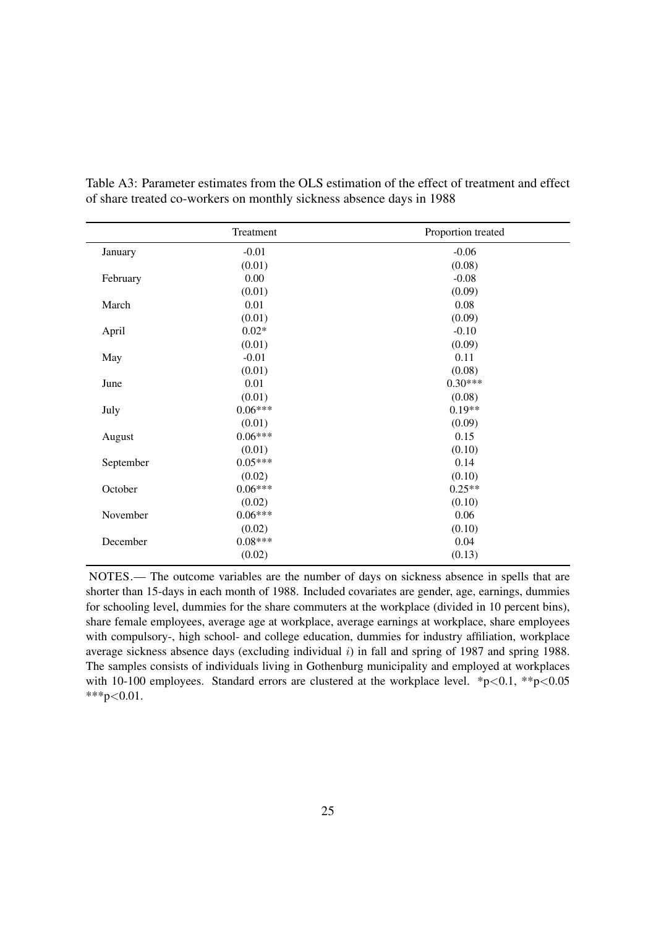<span id="page-26-0"></span>

|           | Treatment | Proportion treated |
|-----------|-----------|--------------------|
| January   | $-0.01$   | $-0.06$            |
|           | (0.01)    | (0.08)             |
| February  | 0.00      | $-0.08$            |
|           | (0.01)    | (0.09)             |
| March     | 0.01      | 0.08               |
|           | (0.01)    | (0.09)             |
| April     | $0.02*$   | $-0.10$            |
|           | (0.01)    | (0.09)             |
| May       | $-0.01$   | 0.11               |
|           | (0.01)    | (0.08)             |
| June      | 0.01      | $0.30***$          |
|           | (0.01)    | (0.08)             |
| July      | $0.06***$ | $0.19**$           |
|           | (0.01)    | (0.09)             |
| August    | $0.06***$ | 0.15               |
|           | (0.01)    | (0.10)             |
| September | $0.05***$ | 0.14               |
|           | (0.02)    | (0.10)             |
| October   | $0.06***$ | $0.25**$           |
|           | (0.02)    | (0.10)             |
| November  | $0.06***$ | 0.06               |
|           | (0.02)    | (0.10)             |
| December  | $0.08***$ | 0.04               |
|           | (0.02)    | (0.13)             |

Table A3: Parameter estimates from the OLS estimation of the effect of treatment and effect of share treated co-workers on monthly sickness absence days in 1988

NOTES.— The outcome variables are the number of days on sickness absence in spells that are shorter than 15-days in each month of 1988. Included covariates are gender, age, earnings, dummies for schooling level, dummies for the share commuters at the workplace (divided in 10 percent bins), share female employees, average age at workplace, average earnings at workplace, share employees with compulsory-, high school- and college education, dummies for industry affiliation, workplace average sickness absence days (excluding individual  $i$ ) in fall and spring of 1987 and spring 1988. The samples consists of individuals living in Gothenburg municipality and employed at workplaces with 10-100 employees. Standard errors are clustered at the workplace level.  $*p<0.1$ ,  $*p<0.05$ \*\*\*p<0.01.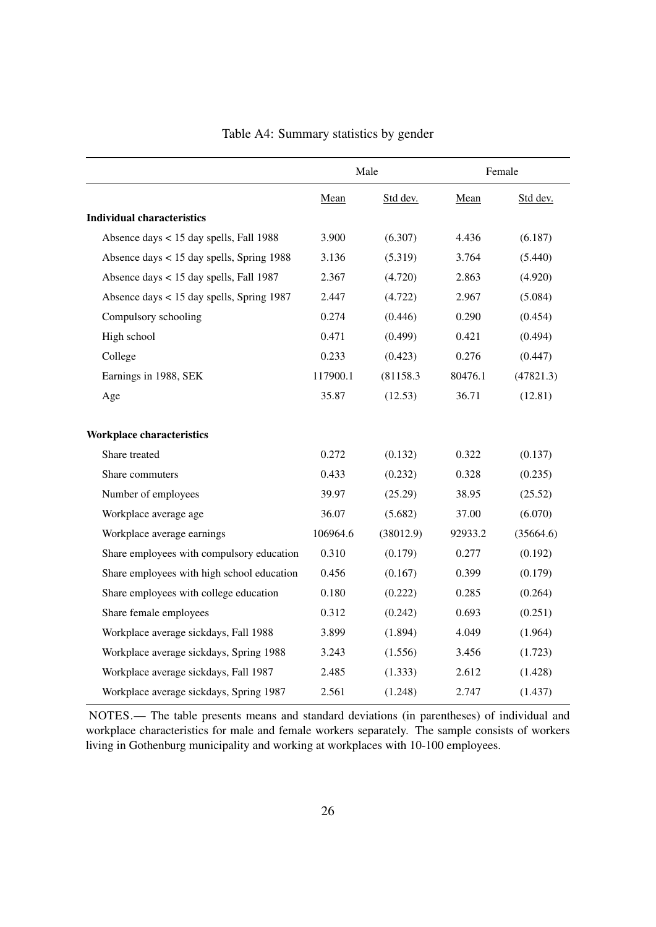<span id="page-27-0"></span>

|                                            | Male     |           | Female  |           |
|--------------------------------------------|----------|-----------|---------|-----------|
|                                            | Mean     | Std dev.  | Mean    | Std dev.  |
| <b>Individual characteristics</b>          |          |           |         |           |
| Absence days < 15 day spells, Fall 1988    | 3.900    | (6.307)   | 4.436   | (6.187)   |
| Absence days < 15 day spells, Spring 1988  | 3.136    | (5.319)   | 3.764   | (5.440)   |
| Absence days < 15 day spells, Fall 1987    | 2.367    | (4.720)   | 2.863   | (4.920)   |
| Absence days < 15 day spells, Spring 1987  | 2.447    | (4.722)   | 2.967   | (5.084)   |
| Compulsory schooling                       | 0.274    | (0.446)   | 0.290   | (0.454)   |
| High school                                | 0.471    | (0.499)   | 0.421   | (0.494)   |
| College                                    | 0.233    | (0.423)   | 0.276   | (0.447)   |
| Earnings in 1988, SEK                      | 117900.1 | (81158.3) | 80476.1 | (47821.3) |
| Age                                        | 35.87    | (12.53)   | 36.71   | (12.81)   |
| Workplace characteristics                  |          |           |         |           |
| Share treated                              | 0.272    | (0.132)   | 0.322   | (0.137)   |
| Share commuters                            | 0.433    | (0.232)   | 0.328   | (0.235)   |
| Number of employees                        | 39.97    | (25.29)   | 38.95   | (25.52)   |
| Workplace average age                      | 36.07    | (5.682)   | 37.00   | (6.070)   |
| Workplace average earnings                 | 106964.6 | (38012.9) | 92933.2 | (35664.6) |
| Share employees with compulsory education  | 0.310    | (0.179)   | 0.277   | (0.192)   |
| Share employees with high school education | 0.456    | (0.167)   | 0.399   | (0.179)   |
| Share employees with college education     | 0.180    | (0.222)   | 0.285   | (0.264)   |
| Share female employees                     | 0.312    | (0.242)   | 0.693   | (0.251)   |
| Workplace average sickdays, Fall 1988      | 3.899    | (1.894)   | 4.049   | (1.964)   |
| Workplace average sickdays, Spring 1988    | 3.243    | (1.556)   | 3.456   | (1.723)   |
| Workplace average sickdays, Fall 1987      | 2.485    | (1.333)   | 2.612   | (1.428)   |
| Workplace average sickdays, Spring 1987    | 2.561    | (1.248)   | 2.747   | (1.437)   |

Table A4: Summary statistics by gender

NOTES.— The table presents means and standard deviations (in parentheses) of individual and workplace characteristics for male and female workers separately. The sample consists of workers living in Gothenburg municipality and working at workplaces with 10-100 employees.